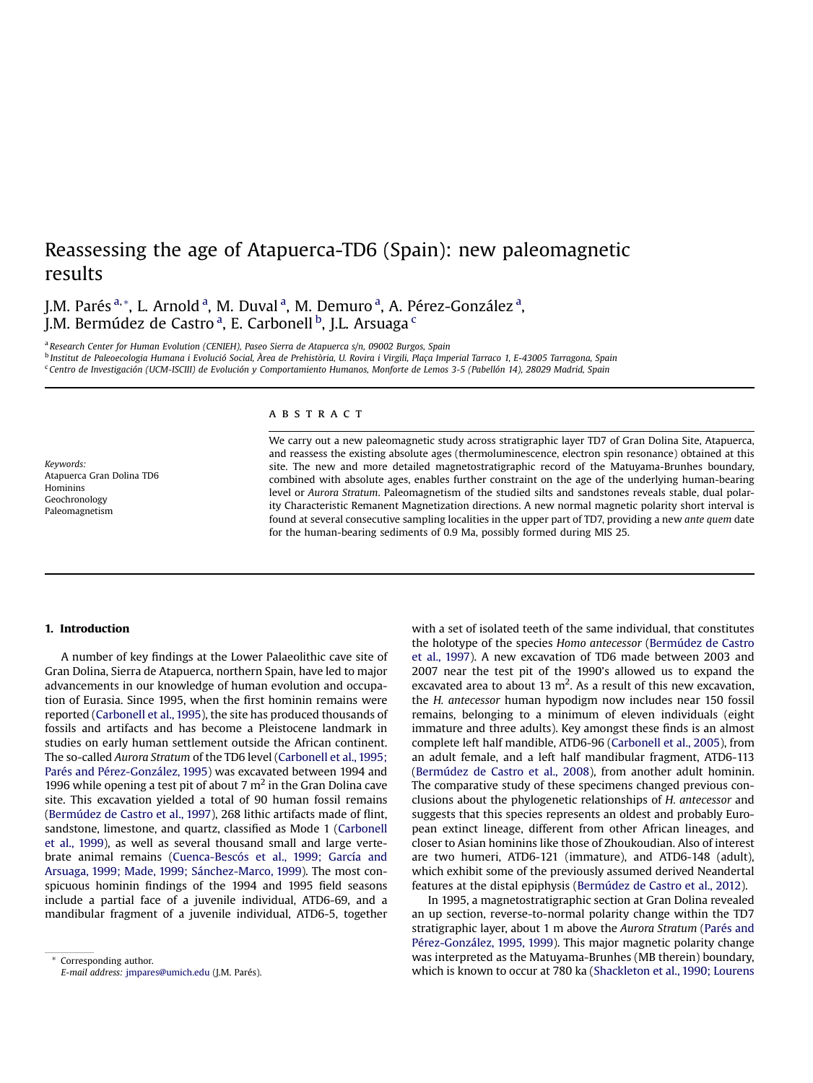# Reassessing the age of Atapuerca-TD6 (Spain): new paleomagnetic results

J.M. Parés<sup>a,</sup>\*, L. Arnold<sup>a</sup>, M. Duval<sup>a</sup>, M. Demuro<sup>a</sup>, A. Pérez-González<sup>a</sup>, J.M. Bermúdez de Castro ª, E. Carbonell <sup>b</sup>, J.L. Arsuaga <sup>c</sup>

<sup>a</sup> Research Center for Human Evolution (CENIEH), Paseo Sierra de Atapuerca s/n, 09002 Burgos, Spain <sup>b</sup> Institut de Paleoecologia Humana i Evolució Social, Àrea de Prehistòria, U. Rovira i Virgili, Plaça Imperial Tarraco 1, E-43005 Tarragona, Spain <sup>c</sup> Centro de Investigación (UCM-ISCIII) de Evolución y Comportamiento Humanos, Monforte de Lemos 3-5 (Pabellón 14), 28029 Madrid, Spain

Keywords: Atapuerca Gran Dolina TD6 Hominins Geochronology Paleomagnetism

# ABSTRACT

We carry out a new paleomagnetic study across stratigraphic layer TD7 of Gran Dolina Site, Atapuerca, and reassess the existing absolute ages (thermoluminescence, electron spin resonance) obtained at this site. The new and more detailed magnetostratigraphic record of the Matuyama-Brunhes boundary, combined with absolute ages, enables further constraint on the age of the underlying human-bearing level or Aurora Stratum. Paleomagnetism of the studied silts and sandstones reveals stable, dual polarity Characteristic Remanent Magnetization directions. A new normal magnetic polarity short interval is found at several consecutive sampling localities in the upper part of TD7, providing a new ante quem date for the human-bearing sediments of 0.9 Ma, possibly formed during MIS 25.

# 1. Introduction

A number of key findings at the Lower Palaeolithic cave site of Gran Dolina, Sierra de Atapuerca, northern Spain, have led to major advancements in our knowledge of human evolution and occupation of Eurasia. Since 1995, when the first hominin remains were reported [\(Carbonell et al., 1995](#page-8-0)), the site has produced thousands of fossils and artifacts and has become a Pleistocene landmark in studies on early human settlement outside the African continent. The so-called Aurora Stratum of the TD6 level [\(Carbonell et al., 1995;](#page-8-0) [Parés and Pérez-González, 1995](#page-8-0)) was excavated between 1994 and 1996 while opening a test pit of about 7  $m<sup>2</sup>$  in the Gran Dolina cave site. This excavation yielded a total of 90 human fossil remains ([Bermúdez de Castro et al., 1997\)](#page-8-0), 268 lithic artifacts made of flint, sandstone, limestone, and quartz, classified as Mode 1 ([Carbonell](#page-8-0) [et al., 1999\)](#page-8-0), as well as several thousand small and large vertebrate animal remains ([Cuenca-Bescós et al., 1999; García and](#page-8-0) [Arsuaga, 1999; Made, 1999; Sánchez-Marco, 1999\)](#page-8-0). The most conspicuous hominin findings of the 1994 and 1995 field seasons include a partial face of a juvenile individual, ATD6-69, and a mandibular fragment of a juvenile individual, ATD6-5, together with a set of isolated teeth of the same individual, that constitutes the holotype of the species Homo antecessor [\(Bermúdez de Castro](#page-8-0) [et al., 1997](#page-8-0)). A new excavation of TD6 made between 2003 and 2007 near the test pit of the 1990's allowed us to expand the excavated area to about 13  $m^2$ . As a result of this new excavation, the H. antecessor human hypodigm now includes near 150 fossil remains, belonging to a minimum of eleven individuals (eight immature and three adults). Key amongst these finds is an almost complete left half mandible, ATD6-96 [\(Carbonell et al., 2005\)](#page-8-0), from an adult female, and a left half mandibular fragment, ATD6-113 ([Bermúdez de Castro et al., 2008\)](#page-8-0), from another adult hominin. The comparative study of these specimens changed previous conclusions about the phylogenetic relationships of H. antecessor and suggests that this species represents an oldest and probably European extinct lineage, different from other African lineages, and closer to Asian hominins like those of Zhoukoudian. Also of interest are two humeri, ATD6-121 (immature), and ATD6-148 (adult), which exhibit some of the previously assumed derived Neandertal features at the distal epiphysis [\(Bermúdez de Castro et al., 2012](#page-8-0)).

In 1995, a magnetostratigraphic section at Gran Dolina revealed an up section, reverse-to-normal polarity change within the TD7 stratigraphic layer, about 1 m above the Aurora Stratum [\(Parés and](#page-9-0) [Pérez-González, 1995, 1999](#page-9-0)). This major magnetic polarity change was interpreted as the Matuyama-Brunhes (MB therein) boundary, which is known to occur at 780 ka [\(Shackleton et al., 1990; Lourens](#page-9-0)

Corresponding author. E-mail address: [jmpares@umich.edu](mailto:jmpares@umich.edu) (J.M. Parés).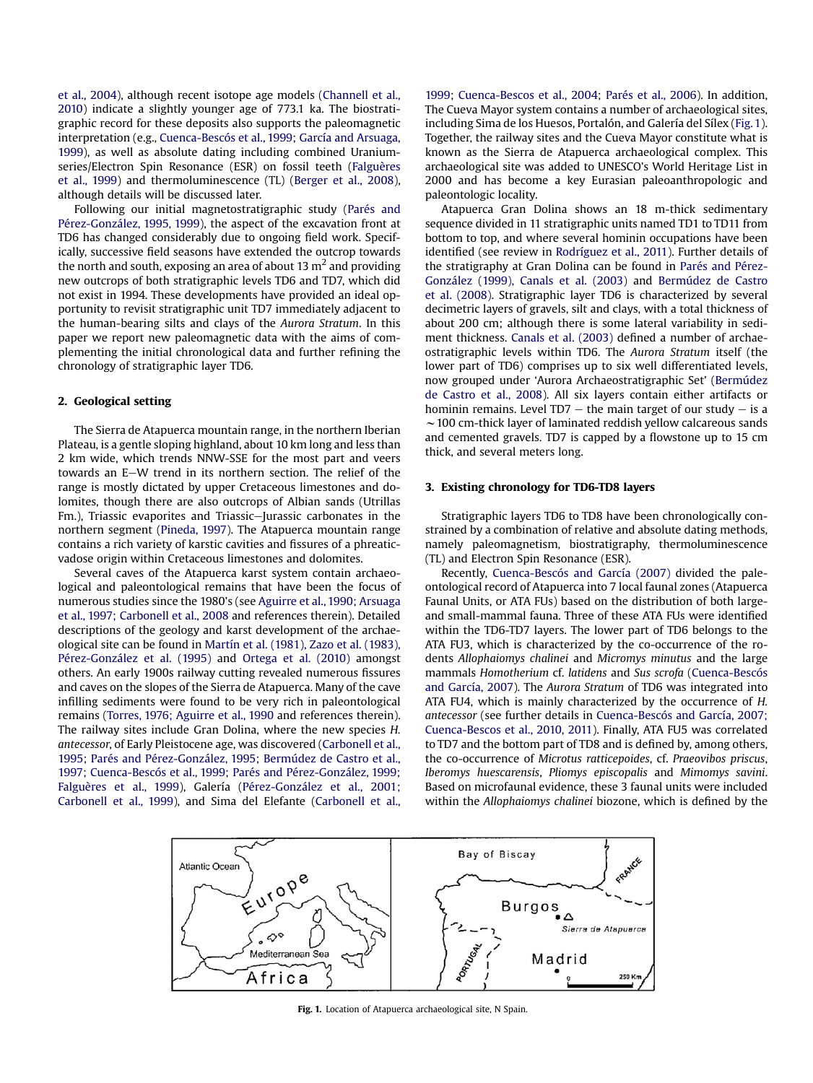[et al., 2004\)](#page-9-0), although recent isotope age models ([Channell et al.,](#page-8-0) [2010\)](#page-8-0) indicate a slightly younger age of 773.1 ka. The biostratigraphic record for these deposits also supports the paleomagnetic interpretation (e.g., [Cuenca-Bescós et al., 1999; García and Arsuaga,](#page-8-0) [1999\)](#page-8-0), as well as absolute dating including combined Uraniumseries/Electron Spin Resonance (ESR) on fossil teeth [\(Falguères](#page-8-0) [et al., 1999\)](#page-8-0) and thermoluminescence (TL) ([Berger et al., 2008\)](#page-8-0), although details will be discussed later.

Following our initial magnetostratigraphic study ([Parés and](#page-9-0) [Pérez-González, 1995, 1999](#page-9-0)), the aspect of the excavation front at TD6 has changed considerably due to ongoing field work. Specifically, successive field seasons have extended the outcrop towards the north and south, exposing an area of about 13  $m<sup>2</sup>$  and providing new outcrops of both stratigraphic levels TD6 and TD7, which did not exist in 1994. These developments have provided an ideal opportunity to revisit stratigraphic unit TD7 immediately adjacent to the human-bearing silts and clays of the Aurora Stratum. In this paper we report new paleomagnetic data with the aims of complementing the initial chronological data and further refining the chronology of stratigraphic layer TD6.

## 2. Geological setting

The Sierra de Atapuerca mountain range, in the northern Iberian Plateau, is a gentle sloping highland, about 10 km long and less than 2 km wide, which trends NNW-SSE for the most part and veers towards an E-W trend in its northern section. The relief of the range is mostly dictated by upper Cretaceous limestones and dolomites, though there are also outcrops of Albian sands (Utrillas Fm.), Triassic evaporites and Triassic-Jurassic carbonates in the northern segment ([Pineda, 1997](#page-9-0)). The Atapuerca mountain range contains a rich variety of karstic cavities and fissures of a phreaticvadose origin within Cretaceous limestones and dolomites.

Several caves of the Atapuerca karst system contain archaeological and paleontological remains that have been the focus of numerous studies since the 1980's (see [Aguirre et al., 1990; Arsuaga](#page-8-0) [et al., 1997; Carbonell et al., 2008](#page-8-0) and references therein). Detailed descriptions of the geology and karst development of the archaeological site can be found in [Martín et al. \(1981\), Zazo et al. \(1983\),](#page-9-0) [Pérez-González et al. \(1995\)](#page-9-0) and [Ortega et al. \(2010\)](#page-9-0) amongst others. An early 1900s railway cutting revealed numerous fissures and caves on the slopes of the Sierra de Atapuerca. Many of the cave infilling sediments were found to be very rich in paleontological remains ([Torres, 1976; Aguirre et al., 1990](#page-9-0) and references therein). The railway sites include Gran Dolina, where the new species H. antecessor, of Early Pleistocene age, was discovered [\(Carbonell et al.,](#page-8-0) [1995; Parés and Pérez-González, 1995; Bermúdez de Castro et al.,](#page-8-0) [1997; Cuenca-Bescós et al., 1999; Parés and Pérez-González, 1999;](#page-8-0) [Falguères et al., 1999](#page-8-0)), Galería ([Pérez-González et al., 2001;](#page-9-0) [Carbonell et al., 1999](#page-9-0)), and Sima del Elefante [\(Carbonell et al.,](#page-8-0) [1999;](#page-8-0) [Cuenca-Bescos et al., 2004;](#page-8-0) [Parés et al., 2006](#page-9-0)). In addition, The Cueva Mayor system contains a number of archaeological sites, including Sima de los Huesos, Portalón, and Galería del Sílex (Fig. 1). Together, the railway sites and the Cueva Mayor constitute what is known as the Sierra de Atapuerca archaeological complex. This archaeological site was added to UNESCO's World Heritage List in 2000 and has become a key Eurasian paleoanthropologic and paleontologic locality.

Atapuerca Gran Dolina shows an 18 m-thick sedimentary sequence divided in 11 stratigraphic units named TD1 to TD11 from bottom to top, and where several hominin occupations have been identified (see review in [Rodríguez et al., 2011](#page-9-0)). Further details of the stratigraphy at Gran Dolina can be found in [Parés and Pérez-](#page-9-0)[González \(1999\), Canals et al. \(2003\)](#page-9-0) and [Bermúdez de Castro](#page-8-0) [et al. \(2008\)](#page-8-0). Stratigraphic layer TD6 is characterized by several decimetric layers of gravels, silt and clays, with a total thickness of about 200 cm; although there is some lateral variability in sediment thickness. [Canals et al. \(2003\)](#page-8-0) defined a number of archaeostratigraphic levels within TD6. The Aurora Stratum itself (the lower part of TD6) comprises up to six well differentiated levels, now grouped under 'Aurora Archaeostratigraphic Set' [\(Bermúdez](#page-8-0) [de Castro et al., 2008\)](#page-8-0). All six layers contain either artifacts or hominin remains. Level TD7  $-$  the main target of our study  $-$  is a  $\sim$  100 cm-thick layer of laminated reddish yellow calcareous sands and cemented gravels. TD7 is capped by a flowstone up to 15 cm thick, and several meters long.

## 3. Existing chronology for TD6-TD8 layers

Stratigraphic layers TD6 to TD8 have been chronologically constrained by a combination of relative and absolute dating methods, namely paleomagnetism, biostratigraphy, thermoluminescence (TL) and Electron Spin Resonance (ESR).

Recently, [Cuenca-Bescós and García \(2007\)](#page-8-0) divided the paleontological record of Atapuerca into 7 local faunal zones (Atapuerca Faunal Units, or ATA FUs) based on the distribution of both largeand small-mammal fauna. Three of these ATA FUs were identified within the TD6-TD7 layers. The lower part of TD6 belongs to the ATA FU3, which is characterized by the co-occurrence of the rodents Allophaiomys chalinei and Micromys minutus and the large mammals Homotherium cf. latidens and Sus scrofa ([Cuenca-Bescós](#page-8-0) [and García, 2007](#page-8-0)). The Aurora Stratum of TD6 was integrated into ATA FU4, which is mainly characterized by the occurrence of H. antecessor (see further details in [Cuenca-Bescós and García, 2007;](#page-8-0) [Cuenca-Bescos et al., 2010, 2011](#page-8-0)). Finally, ATA FU5 was correlated to TD7 and the bottom part of TD8 and is defined by, among others, the co-occurrence of Microtus ratticepoides, cf. Praeovibos priscus, Iberomys huescarensis, Pliomys episcopalis and Mimomys savini. Based on microfaunal evidence, these 3 faunal units were included within the Allophaiomys chalinei biozone, which is defined by the



Fig. 1. Location of Atapuerca archaeological site, N Spain.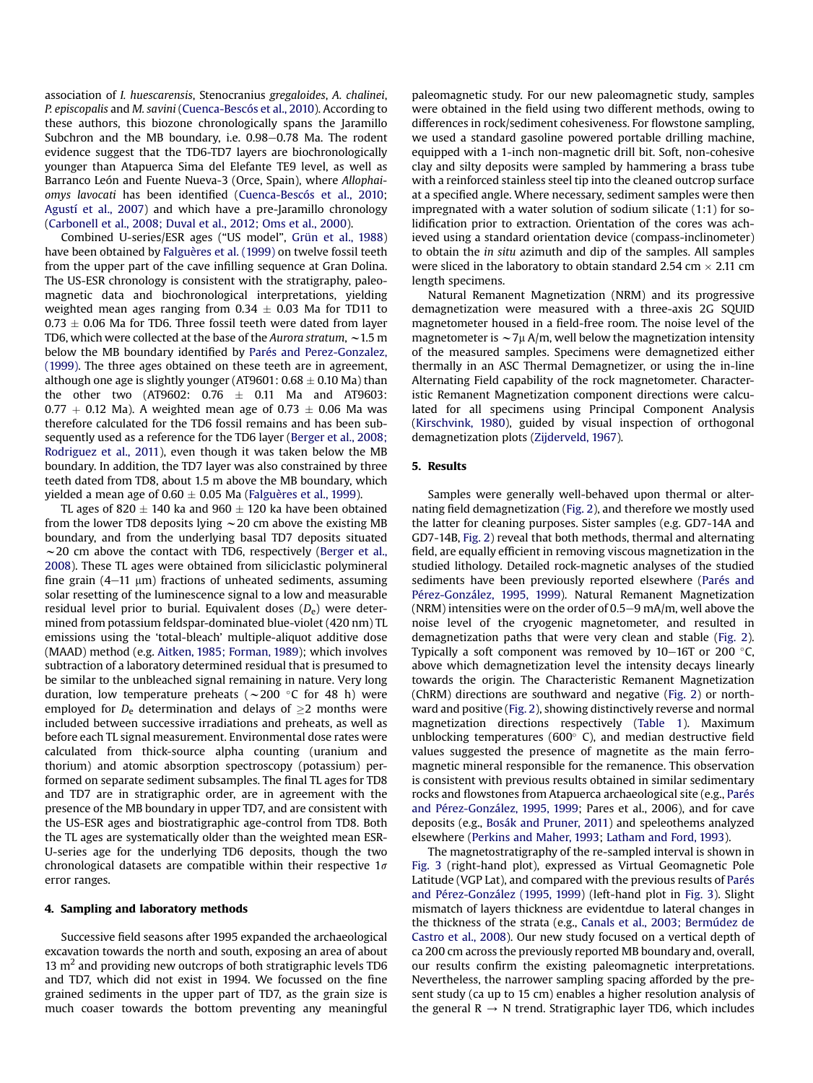association of I. huescarensis, Stenocranius gregaloides, A. chalinei, P. episcopalis and M. savini ([Cuenca-Bescós et al., 2010](#page-8-0)). According to these authors, this biozone chronologically spans the Jaramillo Subchron and the MB boundary, i.e. 0.98-0.78 Ma. The rodent evidence suggest that the TD6-TD7 layers are biochronologically younger than Atapuerca Sima del Elefante TE9 level, as well as Barranco León and Fuente Nueva-3 (Orce, Spain), where Allophaiomys lavocati has been identified ([Cuenca-Bescós et al., 2010](#page-8-0); [Agustí et al., 2007\)](#page-8-0) and which have a pre-Jaramillo chronology ([Carbonell et al., 2008; Duval et al., 2012; Oms et al., 2000](#page-8-0)).

Combined U-series/ESR ages ("US model", [Grün et al., 1988\)](#page-8-0) have been obtained by [Falguères et al. \(1999\)](#page-8-0) on twelve fossil teeth from the upper part of the cave infilling sequence at Gran Dolina. The US-ESR chronology is consistent with the stratigraphy, paleomagnetic data and biochronological interpretations, yielding weighted mean ages ranging from  $0.34 \pm 0.03$  Ma for TD11 to  $0.73 \pm 0.06$  Ma for TD6. Three fossil teeth were dated from layer TD6, which were collected at the base of the Aurora stratum,  $\sim$  1.5 m below the MB boundary identified by [Parés and Perez-Gonzalez,](#page-9-0) [\(1999\)](#page-9-0). The three ages obtained on these teeth are in agreement, although one age is slightly younger (AT9601:  $0.68 \pm 0.10$  Ma) than the other two (AT9602:  $0.76 \pm 0.11$  Ma and AT9603: 0.77  $+$  0.12 Ma). A weighted mean age of 0.73  $\pm$  0.06 Ma was therefore calculated for the TD6 fossil remains and has been subsequently used as a reference for the TD6 layer [\(Berger et al., 2008;](#page-8-0) [Rodriguez et al., 2011\)](#page-8-0), even though it was taken below the MB boundary. In addition, the TD7 layer was also constrained by three teeth dated from TD8, about 1.5 m above the MB boundary, which yielded a mean age of  $0.60 \pm 0.05$  Ma [\(Falguères et al., 1999\)](#page-8-0).

TL ages of 820  $\pm$  140 ka and 960  $\pm$  120 ka have been obtained from the lower TD8 deposits lying  $\sim$  20 cm above the existing MB boundary, and from the underlying basal TD7 deposits situated  $\sim$  20 cm above the contact with TD6, respectively ([Berger et al.,](#page-8-0) [2008](#page-8-0)). These TL ages were obtained from siliciclastic polymineral fine grain  $(4-11 \mu m)$  fractions of unheated sediments, assuming solar resetting of the luminescence signal to a low and measurable residual level prior to burial. Equivalent doses  $(D_e)$  were determined from potassium feldspar-dominated blue-violet (420 nm) TL emissions using the 'total-bleach' multiple-aliquot additive dose (MAAD) method (e.g. [Aitken, 1985; Forman, 1989\)](#page-8-0); which involves subtraction of a laboratory determined residual that is presumed to be similar to the unbleached signal remaining in nature. Very long duration, low temperature preheats ( $\sim$ 200 °C for 48 h) were employed for  $D_e$  determination and delays of  $>2$  months were included between successive irradiations and preheats, as well as before each TL signal measurement. Environmental dose rates were calculated from thick-source alpha counting (uranium and thorium) and atomic absorption spectroscopy (potassium) performed on separate sediment subsamples. The final TL ages for TD8 and TD7 are in stratigraphic order, are in agreement with the presence of the MB boundary in upper TD7, and are consistent with the US-ESR ages and biostratigraphic age-control from TD8. Both the TL ages are systematically older than the weighted mean ESR-U-series age for the underlying TD6 deposits, though the two chronological datasets are compatible within their respective  $1\sigma$ error ranges.

#### 4. Sampling and laboratory methods

Successive field seasons after 1995 expanded the archaeological excavation towards the north and south, exposing an area of about 13  $\text{m}^2$  and providing new outcrops of both stratigraphic levels TD6 and TD7, which did not exist in 1994. We focussed on the fine grained sediments in the upper part of TD7, as the grain size is much coaser towards the bottom preventing any meaningful paleomagnetic study. For our new paleomagnetic study, samples were obtained in the field using two different methods, owing to differences in rock/sediment cohesiveness. For flowstone sampling, we used a standard gasoline powered portable drilling machine, equipped with a 1-inch non-magnetic drill bit. Soft, non-cohesive clay and silty deposits were sampled by hammering a brass tube with a reinforced stainless steel tip into the cleaned outcrop surface at a specified angle. Where necessary, sediment samples were then impregnated with a water solution of sodium silicate (1:1) for solidification prior to extraction. Orientation of the cores was achieved using a standard orientation device (compass-inclinometer) to obtain the in situ azimuth and dip of the samples. All samples were sliced in the laboratory to obtain standard 2.54 cm  $\times$  2.11 cm length specimens.

Natural Remanent Magnetization (NRM) and its progressive demagnetization were measured with a three-axis 2G SQUID magnetometer housed in a field-free room. The noise level of the magnetometer is  $\sim$  7 $\mu$  A/m, well below the magnetization intensity of the measured samples. Specimens were demagnetized either thermally in an ASC Thermal Demagnetizer, or using the in-line Alternating Field capability of the rock magnetometer. Characteristic Remanent Magnetization component directions were calculated for all specimens using Principal Component Analysis ([Kirschvink, 1980](#page-9-0)), guided by visual inspection of orthogonal demagnetization plots ([Zijderveld, 1967\)](#page-9-0).

# 5. Results

Samples were generally well-behaved upon thermal or alternating field demagnetization [\(Fig. 2\)](#page-3-0), and therefore we mostly used the latter for cleaning purposes. Sister samples (e.g. GD7-14A and GD7-14B, [Fig. 2](#page-3-0)) reveal that both methods, thermal and alternating field, are equally efficient in removing viscous magnetization in the studied lithology. Detailed rock-magnetic analyses of the studied sediments have been previously reported elsewhere ([Parés and](#page-9-0) [Pérez-González, 1995, 1999\)](#page-9-0). Natural Remanent Magnetization (NRM) intensities were on the order of  $0.5-9$  mA/m, well above the noise level of the cryogenic magnetometer, and resulted in demagnetization paths that were very clean and stable [\(Fig. 2\)](#page-3-0). Typically a soft component was removed by  $10-16$ T or 200 °C, above which demagnetization level the intensity decays linearly towards the origin. The Characteristic Remanent Magnetization (ChRM) directions are southward and negative ([Fig. 2\)](#page-3-0) or northward and positive ([Fig. 2](#page-3-0)), showing distinctively reverse and normal magnetization directions respectively [\(Table 1](#page-4-0)). Maximum unblocking temperatures (600 $^{\circ}$  C), and median destructive field values suggested the presence of magnetite as the main ferromagnetic mineral responsible for the remanence. This observation is consistent with previous results obtained in similar sedimentary rocks and flowstones from Atapuerca archaeological site (e.g., [Parés](#page-9-0) [and Pérez-González, 1995, 1999;](#page-9-0) Pares et al., 2006), and for cave deposits (e.g., [Bosák and Pruner, 2011](#page-8-0)) and speleothems analyzed elsewhere ([Perkins and Maher, 1993](#page-9-0); [Latham and Ford, 1993\)](#page-9-0).

The magnetostratigraphy of the re-sampled interval is shown in [Fig. 3](#page-4-0) (right-hand plot), expressed as Virtual Geomagnetic Pole Latitude (VGP Lat), and compared with the previous results of [Parés](#page-9-0) [and Pérez-González \(1995, 1999\)](#page-9-0) (left-hand plot in [Fig. 3](#page-4-0)). Slight mismatch of layers thickness are evidentdue to lateral changes in the thickness of the strata (e.g., [Canals et al., 2003; Bermúdez de](#page-8-0) [Castro et al., 2008](#page-8-0)). Our new study focused on a vertical depth of ca 200 cm across the previously reported MB boundary and, overall, our results confirm the existing paleomagnetic interpretations. Nevertheless, the narrower sampling spacing afforded by the present study (ca up to 15 cm) enables a higher resolution analysis of the general  $R \rightarrow N$  trend. Stratigraphic layer TD6, which includes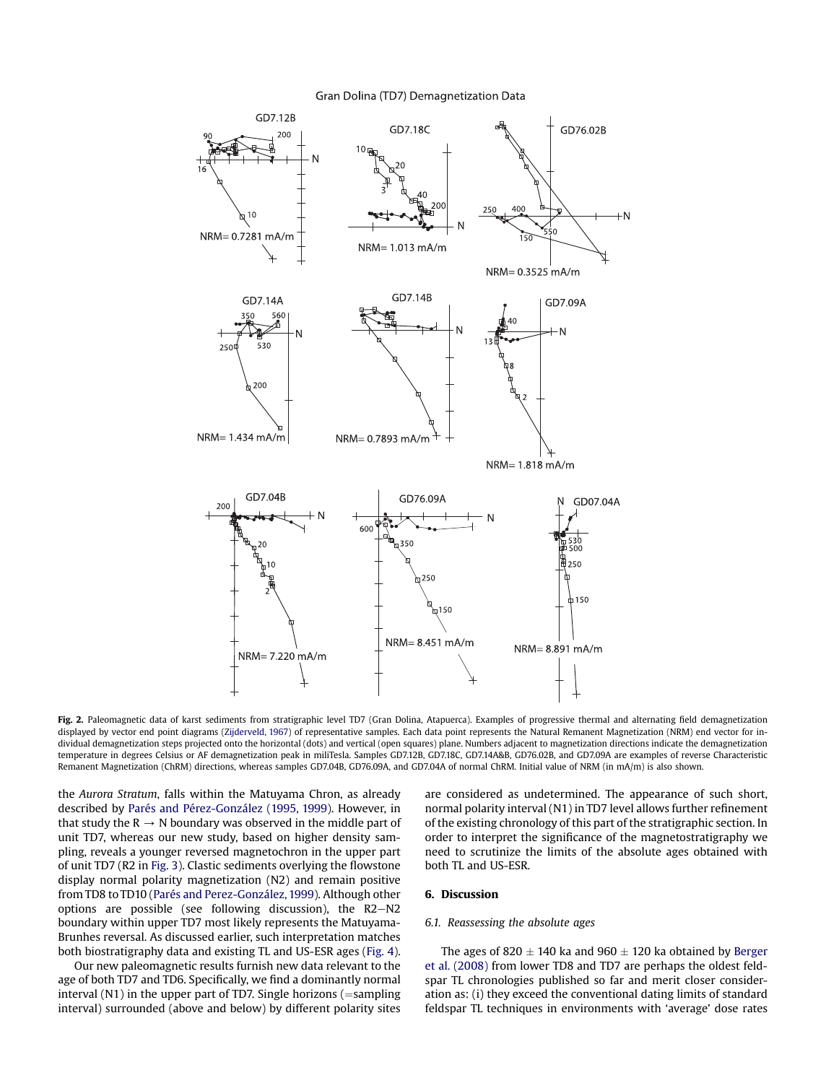<span id="page-3-0"></span>

## Gran Dolina (TD7) Demagnetization Data

Fig. 2. Paleomagnetic data of karst sediments from stratigraphic level TD7 (Gran Dolina, Atapuerca). Examples of progressive thermal and alternating field demagnetization displayed by vector end point diagrams ([Zijderveld, 1967](#page-9-0)) of representative samples. Each data point represents the Natural Remanent Magnetization (NRM) end vector for individual demagnetization steps projected onto the horizontal (dots) and vertical (open squares) plane. Numbers adjacent to magnetization directions indicate the demagnetization temperature in degrees Celsius or AF demagnetization peak in miliTesla. Samples GD7.12B, GD7.18C, GD7.14A&B, GD76.02B, and GD7.09A are examples of reverse Characteristic Remanent Magnetization (ChRM) directions, whereas samples GD7.04B, GD76.09A, and GD7.04A of normal ChRM. Initial value of NRM (in mA/m) is also shown.

the Aurora Stratum, falls within the Matuyama Chron, as already described by [Parés and Pérez-González \(1995, 1999\)](#page-9-0). However, in that study the  $R \rightarrow N$  boundary was observed in the middle part of unit TD7, whereas our new study, based on higher density sampling, reveals a younger reversed magnetochron in the upper part of unit TD7 (R2 in [Fig. 3\)](#page-4-0). Clastic sediments overlying the flowstone display normal polarity magnetization (N2) and remain positive from TD8 to TD10 [\(Parés and Perez-González, 1999](#page-9-0)). Although other options are possible (see following discussion), the  $R2-N2$ boundary within upper TD7 most likely represents the Matuyama-Brunhes reversal. As discussed earlier, such interpretation matches both biostratigraphy data and existing TL and US-ESR ages ([Fig. 4\)](#page-5-0).

Our new paleomagnetic results furnish new data relevant to the age of both TD7 and TD6. Specifically, we find a dominantly normal interval  $(N1)$  in the upper part of TD7. Single horizons  $($ =sampling interval) surrounded (above and below) by different polarity sites

are considered as undetermined. The appearance of such short, normal polarity interval (N1) in TD7 level allows further refinement of the existing chronology of this part of the stratigraphic section. In order to interpret the significance of the magnetostratigraphy we need to scrutinize the limits of the absolute ages obtained with both TL and US-ESR.

## 6. Discussion

#### 6.1. Reassessing the absolute ages

The ages of 820  $\pm$  140 ka and 960  $\pm$  120 ka obtained by [Berger](#page-8-0) [et al. \(2008\)](#page-8-0) from lower TD8 and TD7 are perhaps the oldest feldspar TL chronologies published so far and merit closer consideration as: (i) they exceed the conventional dating limits of standard feldspar TL techniques in environments with 'average' dose rates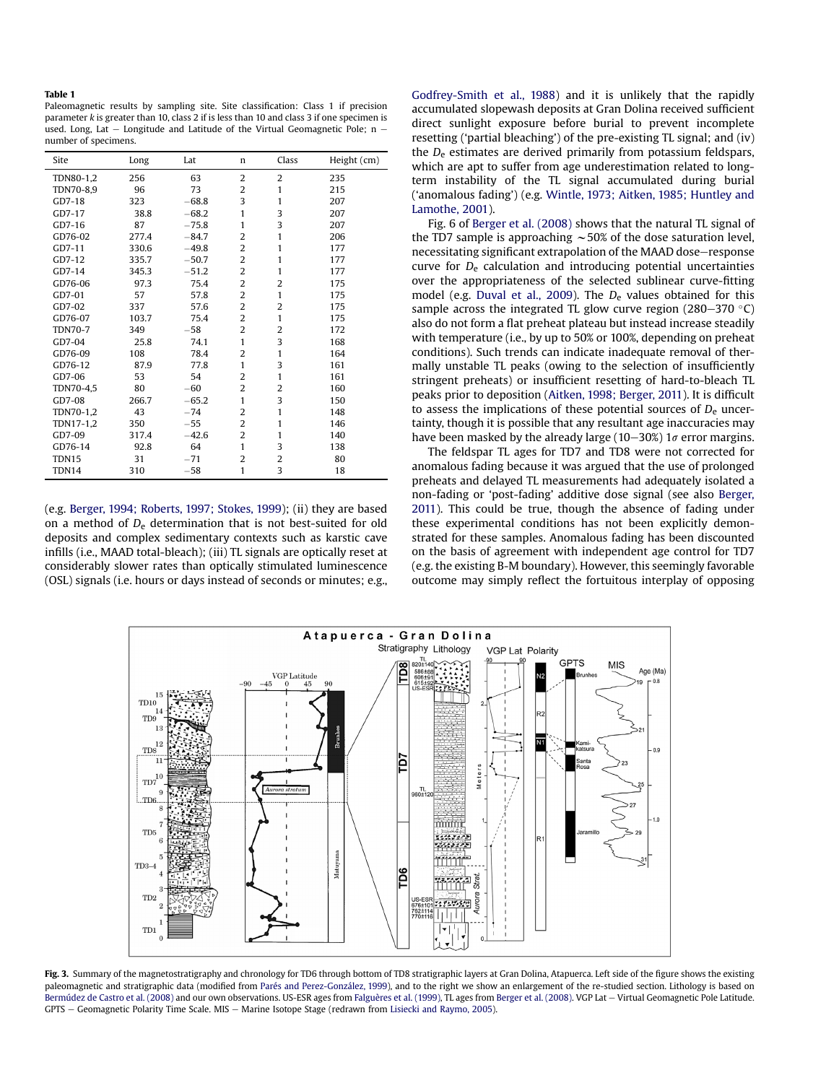#### <span id="page-4-0"></span>Table 1

Paleomagnetic results by sampling site. Site classification: Class 1 if precision parameter k is greater than 10, class 2 if is less than 10 and class 3 if one specimen is used. Long, Lat  $-$  Longitude and Latitude of the Virtual Geomagnetic Pole; n  $$ number of specimens.

| Site           | Long  | Lat     | n              | Class          | Height (cm) |
|----------------|-------|---------|----------------|----------------|-------------|
| TDN80-1,2      | 256   | 63      | $\overline{2}$ | $\overline{2}$ | 235         |
| TDN70-8,9      | 96    | 73      | 2              | 1              | 215         |
| GD7-18         | 323   | $-68.8$ | 3              | 1              | 207         |
| GD7-17         | 38.8  | $-68.2$ | 1              | 3              | 207         |
| GD7-16         | 87    | $-75.8$ | 1              | 3              | 207         |
| GD76-02        | 277.4 | $-84.7$ | 2              | $\mathbf{1}$   | 206         |
| GD7-11         | 330.6 | $-49.8$ | $\overline{2}$ | 1              | 177         |
| GD7-12         | 335.7 | $-50.7$ | $\overline{c}$ | 1              | 177         |
| GD7-14         | 345.3 | $-51.2$ | 2              | $\mathbf{1}$   | 177         |
| GD76-06        | 97.3  | 75.4    | $\overline{2}$ | $\overline{2}$ | 175         |
| GD7-01         | 57    | 57.8    | 2              | $\mathbf{1}$   | 175         |
| GD7-02         | 337   | 57.6    | 2              | 2              | 175         |
| GD76-07        | 103.7 | 75.4    | $\overline{2}$ | 1              | 175         |
| <b>TDN70-7</b> | 349   | $-58$   | $\overline{2}$ | 2              | 172         |
| GD7-04         | 25.8  | 74.1    | 1              | 3              | 168         |
| GD76-09        | 108   | 78.4    | 2              | 1              | 164         |
| GD76-12        | 87.9  | 77.8    | 1              | 3              | 161         |
| GD7-06         | 53    | 54      | 2              | $\mathbf{1}$   | 161         |
| TDN70-4,5      | 80    | $-60$   | $\overline{2}$ | 2              | 160         |
| GD7-08         | 266.7 | $-65.2$ | $\mathbf{1}$   | 3              | 150         |
| TDN70-1,2      | 43    | $-74$   | $\overline{2}$ | $\mathbf{1}$   | 148         |
| TDN17-1,2      | 350   | $-55$   | $\overline{2}$ | 1              | 146         |
| GD7-09         | 317.4 | $-42.6$ | $\overline{2}$ | 1              | 140         |
| GD76-14        | 92.8  | 64      | $\mathbf{1}$   | 3              | 138         |
| TDN15          | 31    | $-71$   | $\overline{2}$ | $\overline{2}$ | 80          |
| TDN14          | 310   | $-58$   | $\mathbf{1}$   | 3              | 18          |

(e.g. [Berger, 1994; Roberts, 1997; Stokes, 1999](#page-8-0)); (ii) they are based on a method of  $D_e$  determination that is not best-suited for old deposits and complex sedimentary contexts such as karstic cave infills (i.e., MAAD total-bleach); (iii) TL signals are optically reset at considerably slower rates than optically stimulated luminescence (OSL) signals (i.e. hours or days instead of seconds or minutes; e.g., [Godfrey-Smith et al., 1988\)](#page-8-0) and it is unlikely that the rapidly accumulated slopewash deposits at Gran Dolina received sufficient direct sunlight exposure before burial to prevent incomplete resetting ('partial bleaching') of the pre-existing TL signal; and (iv) the  $D_e$  estimates are derived primarily from potassium feldspars, which are apt to suffer from age underestimation related to longterm instability of the TL signal accumulated during burial ('anomalous fading') (e.g. [Wintle, 1973; Aitken, 1985; Huntley and](#page-9-0) [Lamothe, 2001\)](#page-9-0).

Fig. 6 of [Berger et al. \(2008\)](#page-8-0) shows that the natural TL signal of the TD7 sample is approaching  $\sim$  50% of the dose saturation level, necessitating significant extrapolation of the MAAD dose-response curve for  $D<sub>e</sub>$  calculation and introducing potential uncertainties over the appropriateness of the selected sublinear curve-fitting model (e.g. [Duval et al., 2009\)](#page-8-0). The  $D_e$  values obtained for this sample across the integrated TL glow curve region (280–370 °C) also do not form a flat preheat plateau but instead increase steadily with temperature (i.e., by up to 50% or 100%, depending on preheat conditions). Such trends can indicate inadequate removal of thermally unstable TL peaks (owing to the selection of insufficiently stringent preheats) or insufficient resetting of hard-to-bleach TL peaks prior to deposition ([Aitken, 1998; Berger, 2011](#page-8-0)). It is difficult to assess the implications of these potential sources of  $D<sub>e</sub>$  uncertainty, though it is possible that any resultant age inaccuracies may have been masked by the already large (10-30%) 1 $\sigma$  error margins.

The feldspar TL ages for TD7 and TD8 were not corrected for anomalous fading because it was argued that the use of prolonged preheats and delayed TL measurements had adequately isolated a non-fading or 'post-fading' additive dose signal (see also [Berger,](#page-8-0) [2011\)](#page-8-0). This could be true, though the absence of fading under these experimental conditions has not been explicitly demonstrated for these samples. Anomalous fading has been discounted on the basis of agreement with independent age control for TD7 (e.g. the existing B-M boundary). However, this seemingly favorable outcome may simply reflect the fortuitous interplay of opposing



Fig. 3. Summary of the magnetostratigraphy and chronology for TD6 through bottom of TD8 stratigraphic layers at Gran Dolina, Atapuerca. Left side of the figure shows the existing paleomagnetic and stratigraphic data (modified from [Parés and Perez-González, 1999\)](#page-9-0), and to the right we show an enlargement of the re-studied section. Lithology is based on [Bermúdez de Castro et al. \(2008\)](#page-8-0) and our own observations. US-ESR ages from [Falguères et al. \(1999\),](#page-8-0) TL ages from [Berger et al. \(2008\)](#page-8-0). VGP Lat - Virtual Geomagnetic Pole Latitude. GPTS - Geomagnetic Polarity Time Scale. MIS - Marine Isotope Stage (redrawn from [Lisiecki and Raymo, 2005\)](#page-9-0).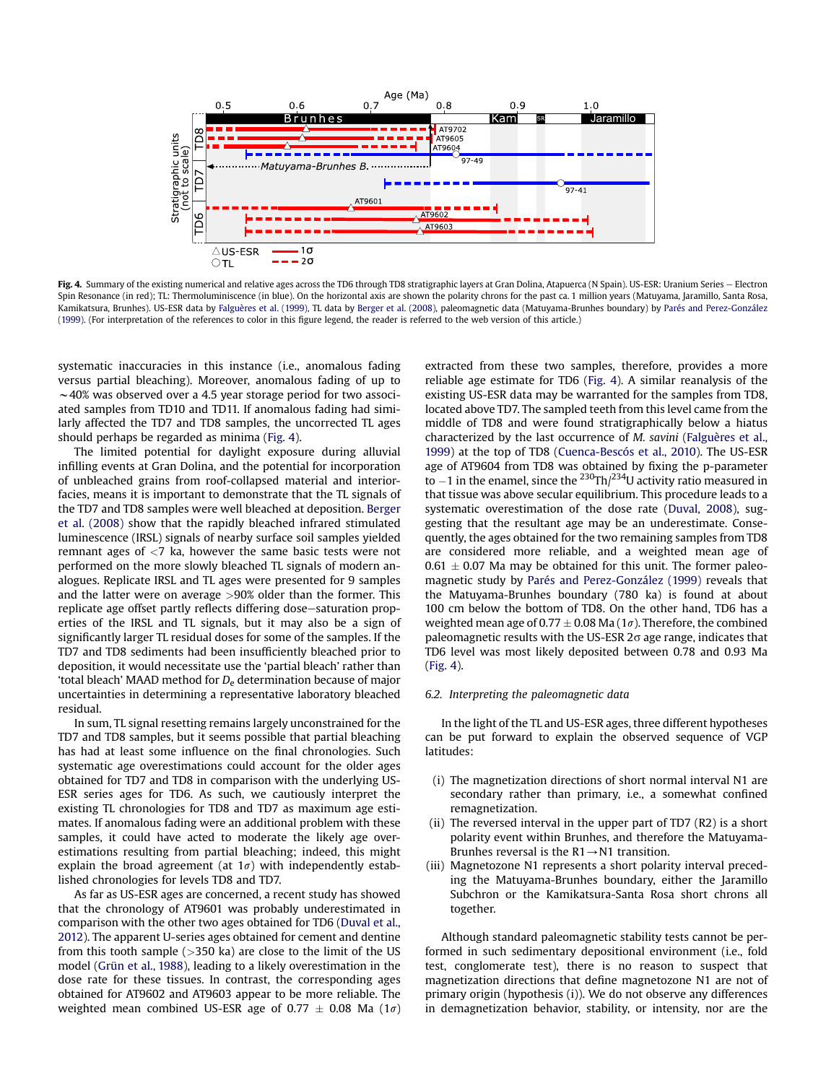<span id="page-5-0"></span>

Fig. 4. Summary of the existing numerical and relative ages across the TD6 through TD8 stratigraphic layers at Gran Dolina, Atapuerca (N Spain). US-ESR: Uranium Series - Electron Spin Resonance (in red); TL: Thermoluminiscence (in blue). On the horizontal axis are shown the polarity chrons for the past ca. 1 million years (Matuyama, Jaramillo, Santa Rosa, Kamikatsura, Brunhes). US-ESR data by [Falguères et al. \(1999\)](#page-8-0), TL data by [Berger et al. \(2008\)](#page-8-0), paleomagnetic data (Matuyama-Brunhes boundary) by [Parés and Perez-González](#page-9-0) [\(1999\)](#page-9-0). (For interpretation of the references to color in this figure legend, the reader is referred to the web version of this article.)

systematic inaccuracies in this instance (i.e., anomalous fading versus partial bleaching). Moreover, anomalous fading of up to  $\sim$  40% was observed over a 4.5 year storage period for two associated samples from TD10 and TD11. If anomalous fading had similarly affected the TD7 and TD8 samples, the uncorrected TL ages should perhaps be regarded as minima (Fig. 4).

The limited potential for daylight exposure during alluvial infilling events at Gran Dolina, and the potential for incorporation of unbleached grains from roof-collapsed material and interiorfacies, means it is important to demonstrate that the TL signals of the TD7 and TD8 samples were well bleached at deposition. [Berger](#page-8-0) [et al. \(2008\)](#page-8-0) show that the rapidly bleached infrared stimulated luminescence (IRSL) signals of nearby surface soil samples yielded remnant ages of <7 ka, however the same basic tests were not performed on the more slowly bleached TL signals of modern analogues. Replicate IRSL and TL ages were presented for 9 samples and the latter were on average >90% older than the former. This replicate age offset partly reflects differing dose–saturation properties of the IRSL and TL signals, but it may also be a sign of significantly larger TL residual doses for some of the samples. If the TD7 and TD8 sediments had been insufficiently bleached prior to deposition, it would necessitate use the 'partial bleach' rather than 'total bleach' MAAD method for  $D_e$  determination because of major uncertainties in determining a representative laboratory bleached residual.

In sum, TL signal resetting remains largely unconstrained for the TD7 and TD8 samples, but it seems possible that partial bleaching has had at least some influence on the final chronologies. Such systematic age overestimations could account for the older ages obtained for TD7 and TD8 in comparison with the underlying US-ESR series ages for TD6. As such, we cautiously interpret the existing TL chronologies for TD8 and TD7 as maximum age estimates. If anomalous fading were an additional problem with these samples, it could have acted to moderate the likely age overestimations resulting from partial bleaching; indeed, this might explain the broad agreement (at  $1\sigma$ ) with independently established chronologies for levels TD8 and TD7.

As far as US-ESR ages are concerned, a recent study has showed that the chronology of AT9601 was probably underestimated in comparison with the other two ages obtained for TD6 ([Duval et al.,](#page-8-0) [2012\)](#page-8-0). The apparent U-series ages obtained for cement and dentine from this tooth sample ( $>350$  ka) are close to the limit of the US model ([Grün et al., 1988](#page-8-0)), leading to a likely overestimation in the dose rate for these tissues. In contrast, the corresponding ages obtained for AT9602 and AT9603 appear to be more reliable. The weighted mean combined US-ESR age of 0.77  $\pm$  0.08 Ma (1 $\sigma$ ) extracted from these two samples, therefore, provides a more reliable age estimate for TD6 (Fig. 4). A similar reanalysis of the existing US-ESR data may be warranted for the samples from TD8, located above TD7. The sampled teeth from this level came from the middle of TD8 and were found stratigraphically below a hiatus characterized by the last occurrence of M. savini [\(Falguères et al.,](#page-8-0) [1999\)](#page-8-0) at the top of TD8 [\(Cuenca-Bescós et al., 2010](#page-8-0)). The US-ESR age of AT9604 from TD8 was obtained by fixing the p-parameter to  $-1$  in the enamel, since the <sup>230</sup>Th/<sup>234</sup>U activity ratio measured in that tissue was above secular equilibrium. This procedure leads to a systematic overestimation of the dose rate ([Duval, 2008\)](#page-8-0), suggesting that the resultant age may be an underestimate. Consequently, the ages obtained for the two remaining samples from TD8 are considered more reliable, and a weighted mean age of  $0.61 \pm 0.07$  Ma may be obtained for this unit. The former paleomagnetic study by [Parés and Perez-González \(1999\)](#page-9-0) reveals that the Matuyama-Brunhes boundary (780 ka) is found at about 100 cm below the bottom of TD8. On the other hand, TD6 has a weighted mean age of 0.77  $\pm$  0.08 Ma (1 $\sigma$ ). Therefore, the combined paleomagnetic results with the US-ESR  $2\sigma$  age range, indicates that TD6 level was most likely deposited between 0.78 and 0.93 Ma (Fig. 4).

## 6.2. Interpreting the paleomagnetic data

In the light of the TL and US-ESR ages, three different hypotheses can be put forward to explain the observed sequence of VGP latitudes:

- (i) The magnetization directions of short normal interval N1 are secondary rather than primary, i.e., a somewhat confined remagnetization.
- (ii) The reversed interval in the upper part of TD7 (R2) is a short polarity event within Brunhes, and therefore the Matuyama-Brunhes reversal is the  $R1 \rightarrow N1$  transition.
- (iii) Magnetozone N1 represents a short polarity interval preceding the Matuyama-Brunhes boundary, either the Jaramillo Subchron or the Kamikatsura-Santa Rosa short chrons all together.

Although standard paleomagnetic stability tests cannot be performed in such sedimentary depositional environment (i.e., fold test, conglomerate test), there is no reason to suspect that magnetization directions that define magnetozone N1 are not of primary origin (hypothesis (i)). We do not observe any differences in demagnetization behavior, stability, or intensity, nor are the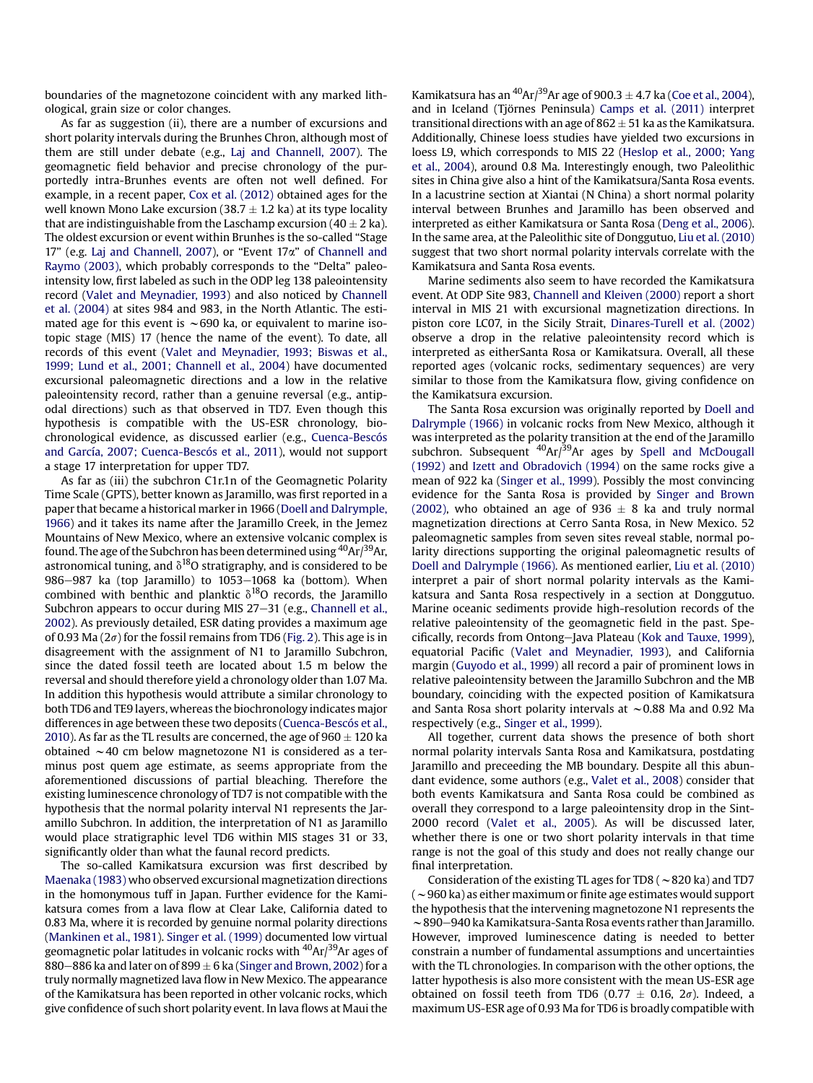boundaries of the magnetozone coincident with any marked lithological, grain size or color changes.

As far as suggestion (ii), there are a number of excursions and short polarity intervals during the Brunhes Chron, although most of them are still under debate (e.g., [Laj and Channell, 2007\)](#page-9-0). The geomagnetic field behavior and precise chronology of the purportedly intra-Brunhes events are often not well defined. For example, in a recent paper, [Cox et al. \(2012\)](#page-8-0) obtained ages for the well known Mono Lake excursion (38.7  $\pm$  1.2 ka) at its type locality that are indistinguishable from the Laschamp excursion (40  $\pm$  2 ka). The oldest excursion or event within Brunhes is the so-called "Stage 17" (e.g. [Laj and Channell, 2007](#page-9-0)), or "Event 17a" of [Channell and](#page-8-0) [Raymo \(2003\)](#page-8-0), which probably corresponds to the "Delta" paleointensity low, first labeled as such in the ODP leg 138 paleointensity record [\(Valet and Meynadier, 1993\)](#page-9-0) and also noticed by [Channell](#page-8-0) [et al. \(2004\)](#page-8-0) at sites 984 and 983, in the North Atlantic. The estimated age for this event is  $\sim$  690 ka, or equivalent to marine isotopic stage (MIS) 17 (hence the name of the event). To date, all records of this event [\(Valet and Meynadier, 1993; Biswas et al.,](#page-9-0) [1999; Lund et al., 2001; Channell et al., 2004](#page-9-0)) have documented excursional paleomagnetic directions and a low in the relative paleointensity record, rather than a genuine reversal (e.g., antipodal directions) such as that observed in TD7. Even though this hypothesis is compatible with the US-ESR chronology, biochronological evidence, as discussed earlier (e.g., [Cuenca-Bescós](#page-8-0) [and García, 2007; Cuenca-Bescós et al., 2011](#page-8-0)), would not support a stage 17 interpretation for upper TD7.

As far as (iii) the subchron C1r.1n of the Geomagnetic Polarity Time Scale (GPTS), better known as Jaramillo, was first reported in a paper that became a historical marker in 1966 ([Doell and Dalrymple,](#page-8-0) [1966](#page-8-0)) and it takes its name after the Jaramillo Creek, in the Jemez Mountains of New Mexico, where an extensive volcanic complex is found. The age of the Subchron has been determined using  ${}^{40}$ Ar/ ${}^{39}$ Ar, astronomical tuning, and  $\delta^{18}$ O stratigraphy, and is considered to be  $986-987$  ka (top Jaramillo) to  $1053-1068$  ka (bottom). When combined with benthic and planktic  $\delta^{18}$ O records, the Jaramillo Subchron appears to occur during MIS  $27-31$  (e.g., [Channell et al.,](#page-8-0) [2002\)](#page-8-0). As previously detailed, ESR dating provides a maximum age of 0.93 Ma ( $2\sigma$ ) for the fossil remains from TD6 [\(Fig. 2\)](#page-3-0). This age is in disagreement with the assignment of N1 to Jaramillo Subchron, since the dated fossil teeth are located about 1.5 m below the reversal and should therefore yield a chronology older than 1.07 Ma. In addition this hypothesis would attribute a similar chronology to both TD6 and TE9 layers, whereas the biochronology indicates major differences in age between these two deposits [\(Cuenca-Bescós et al.,](#page-8-0) [2010\)](#page-8-0). As far as the TL results are concerned, the age of  $960 \pm 120$  ka obtained  $\sim$  40 cm below magnetozone N1 is considered as a terminus post quem age estimate, as seems appropriate from the aforementioned discussions of partial bleaching. Therefore the existing luminescence chronology of TD7 is not compatible with the hypothesis that the normal polarity interval N1 represents the Jaramillo Subchron. In addition, the interpretation of N1 as Jaramillo would place stratigraphic level TD6 within MIS stages 31 or 33, significantly older than what the faunal record predicts.

The so-called Kamikatsura excursion was first described by [Maenaka \(1983\)](#page-9-0) who observed excursional magnetization directions in the homonymous tuff in Japan. Further evidence for the Kamikatsura comes from a lava flow at Clear Lake, California dated to 0.83 Ma, where it is recorded by genuine normal polarity directions ([Mankinen et al., 1981](#page-9-0)). [Singer et al. \(1999\)](#page-9-0) documented low virtual geomagnetic polar latitudes in volcanic rocks with <sup>40</sup>Ar/<sup>39</sup>Ar ages of 880–886 ka and later on of 899  $\pm$  6 ka ([Singer and Brown, 2002](#page-9-0)) for a truly normally magnetized lava flow in New Mexico. The appearance of the Kamikatsura has been reported in other volcanic rocks, which give confidence of such short polarity event. In lava flows at Maui the Kamikatsura has an  ${}^{40}$ Ar $/{}^{39}$ Ar age of 900.3  $\pm$  4.7 ka [\(Coe et al., 2004\)](#page-8-0), and in Iceland (Tjörnes Peninsula) [Camps et al. \(2011\)](#page-8-0) interpret transitional directions with an age of  $862 \pm 51$  ka as the Kamikatsura. Additionally, Chinese loess studies have yielded two excursions in loess L9, which corresponds to MIS 22 [\(Heslop et al., 2000; Yang](#page-8-0) [et al., 2004\)](#page-8-0), around 0.8 Ma. Interestingly enough, two Paleolithic sites in China give also a hint of the Kamikatsura/Santa Rosa events. In a lacustrine section at Xiantai (N China) a short normal polarity interval between Brunhes and Jaramillo has been observed and interpreted as either Kamikatsura or Santa Rosa [\(Deng et al., 2006\)](#page-8-0). In the same area, at the Paleolithic site of Donggutuo, [Liu et al. \(2010\)](#page-9-0) suggest that two short normal polarity intervals correlate with the Kamikatsura and Santa Rosa events.

Marine sediments also seem to have recorded the Kamikatsura event. At ODP Site 983, [Channell and Kleiven \(2000\)](#page-8-0) report a short interval in MIS 21 with excursional magnetization directions. In piston core LC07, in the Sicily Strait, [Dinares-Turell et al. \(2002\)](#page-8-0) observe a drop in the relative paleointensity record which is interpreted as eitherSanta Rosa or Kamikatsura. Overall, all these reported ages (volcanic rocks, sedimentary sequences) are very similar to those from the Kamikatsura flow, giving confidence on the Kamikatsura excursion.

The Santa Rosa excursion was originally reported by [Doell and](#page-8-0) [Dalrymple \(1966\)](#page-8-0) in volcanic rocks from New Mexico, although it was interpreted as the polarity transition at the end of the Jaramillo subchron. Subsequent  $40Ar/39Ar$  ages by [Spell and McDougall](#page-9-0) [\(1992\)](#page-9-0) and [Izett and Obradovich \(1994\)](#page-8-0) on the same rocks give a mean of 922 ka [\(Singer et al., 1999](#page-9-0)). Possibly the most convincing evidence for the Santa Rosa is provided by [Singer and Brown](#page-9-0) [\(2002\)](#page-9-0), who obtained an age of 936  $\pm$  8 ka and truly normal magnetization directions at Cerro Santa Rosa, in New Mexico. 52 paleomagnetic samples from seven sites reveal stable, normal polarity directions supporting the original paleomagnetic results of [Doell and Dalrymple \(1966\).](#page-8-0) As mentioned earlier, [Liu et al. \(2010\)](#page-9-0) interpret a pair of short normal polarity intervals as the Kamikatsura and Santa Rosa respectively in a section at Donggutuo. Marine oceanic sediments provide high-resolution records of the relative paleointensity of the geomagnetic field in the past. Spe-cifically, records from Ontong-Java Plateau [\(Kok and Tauxe, 1999\)](#page-9-0), equatorial Pacific ([Valet and Meynadier, 1993\)](#page-9-0), and California margin [\(Guyodo et al., 1999](#page-8-0)) all record a pair of prominent lows in relative paleointensity between the Jaramillo Subchron and the MB boundary, coinciding with the expected position of Kamikatsura and Santa Rosa short polarity intervals at  $\sim$  0.88 Ma and 0.92 Ma respectively (e.g., [Singer et al., 1999](#page-9-0)).

All together, current data shows the presence of both short normal polarity intervals Santa Rosa and Kamikatsura, postdating Jaramillo and preceeding the MB boundary. Despite all this abundant evidence, some authors (e.g., [Valet et al., 2008](#page-9-0)) consider that both events Kamikatsura and Santa Rosa could be combined as overall they correspond to a large paleointensity drop in the Sint-2000 record ([Valet et al., 2005\)](#page-9-0). As will be discussed later, whether there is one or two short polarity intervals in that time range is not the goal of this study and does not really change our final interpretation.

Consideration of the existing TL ages for TD8 ( $\sim$ 820 ka) and TD7  $(\sim$  960 ka) as either maximum or finite age estimates would support the hypothesis that the intervening magnetozone N1 represents the  $\sim$  890 $-$ 940 ka Kamikatsura-Santa Rosa events rather than Jaramillo. However, improved luminescence dating is needed to better constrain a number of fundamental assumptions and uncertainties with the TL chronologies. In comparison with the other options, the latter hypothesis is also more consistent with the mean US-ESR age obtained on fossil teeth from TD6 (0.77  $\pm$  0.16, 2 $\sigma$ ). Indeed, a maximum US-ESR age of 0.93 Ma for TD6 is broadly compatible with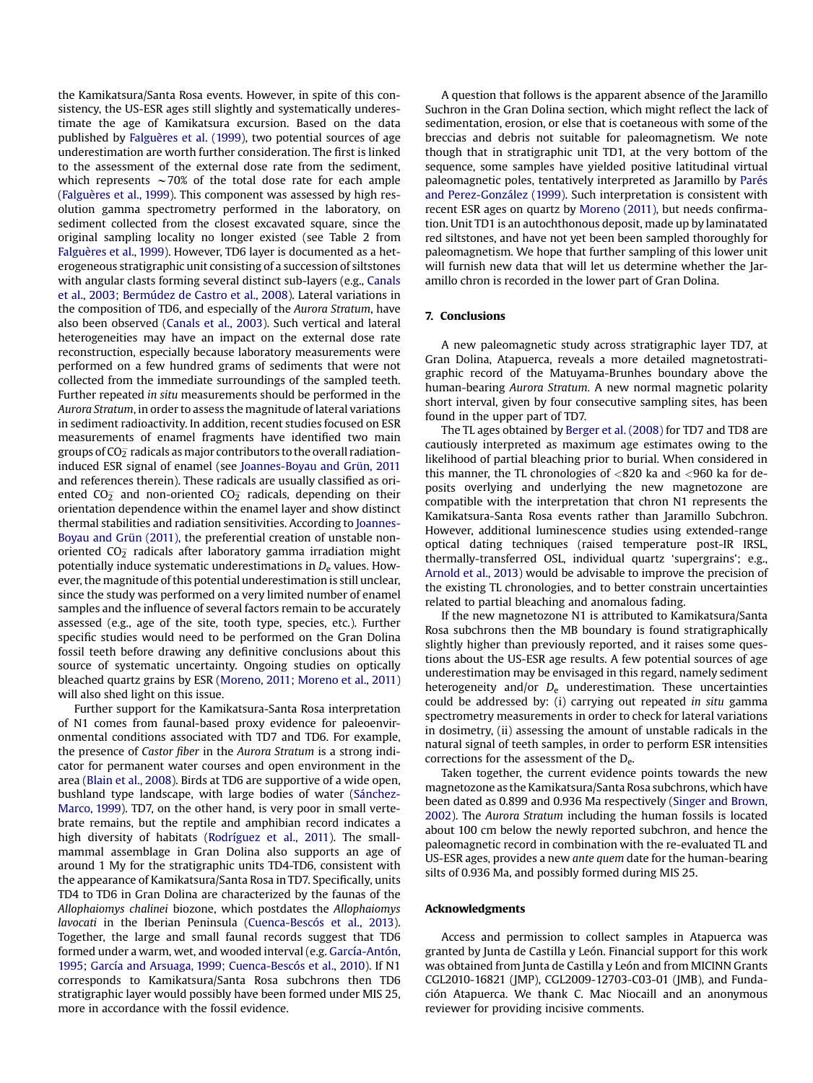the Kamikatsura/Santa Rosa events. However, in spite of this consistency, the US-ESR ages still slightly and systematically underestimate the age of Kamikatsura excursion. Based on the data published by [Falguères et al. \(1999\),](#page-8-0) two potential sources of age underestimation are worth further consideration. The first is linked to the assessment of the external dose rate from the sediment, which represents  $\sim$  70% of the total dose rate for each ample ([Falguères et al., 1999](#page-8-0)). This component was assessed by high resolution gamma spectrometry performed in the laboratory, on sediment collected from the closest excavated square, since the original sampling locality no longer existed (see Table 2 from [Falguères et al., 1999](#page-8-0)). However, TD6 layer is documented as a heterogeneous stratigraphic unit consisting of a succession of siltstones with angular clasts forming several distinct sub-layers (e.g., [Canals](#page-8-0) [et al., 2003; Bermúdez de Castro et al., 2008](#page-8-0)). Lateral variations in the composition of TD6, and especially of the Aurora Stratum, have also been observed [\(Canals et al., 2003\)](#page-8-0). Such vertical and lateral heterogeneities may have an impact on the external dose rate reconstruction, especially because laboratory measurements were performed on a few hundred grams of sediments that were not collected from the immediate surroundings of the sampled teeth. Further repeated in situ measurements should be performed in the Aurora Stratum, in order to assess the magnitude of lateral variations in sediment radioactivity. In addition, recent studies focused on ESR measurements of enamel fragments have identified two main groups of CO $_{\overline{2}}$  radicals as major contributors to the overall radiationinduced ESR signal of enamel (see [Joannes-Boyau and Grün, 2011](#page-8-0) and references therein). These radicals are usually classified as oriented CO $_2^-$  and non-oriented CO $_2^-$  radicals, depending on their orientation dependence within the enamel layer and show distinct thermal stabilities and radiation sensitivities. According to [Joannes-](#page-8-0)[Boyau and Grün \(2011\),](#page-8-0) the preferential creation of unstable nonoriented CO $_{2}^{-}$  radicals after laboratory gamma irradiation might potentially induce systematic underestimations in  $D<sub>e</sub>$  values. However, the magnitude of this potential underestimation is still unclear, since the study was performed on a very limited number of enamel samples and the influence of several factors remain to be accurately assessed (e.g., age of the site, tooth type, species, etc.). Further specific studies would need to be performed on the Gran Dolina fossil teeth before drawing any definitive conclusions about this source of systematic uncertainty. Ongoing studies on optically bleached quartz grains by ESR ([Moreno, 2011; Moreno et al., 2011\)](#page-9-0) will also shed light on this issue.

Further support for the Kamikatsura-Santa Rosa interpretation of N1 comes from faunal-based proxy evidence for paleoenvironmental conditions associated with TD7 and TD6. For example, the presence of Castor fiber in the Aurora Stratum is a strong indicator for permanent water courses and open environment in the area ([Blain et al., 2008\)](#page-8-0). Birds at TD6 are supportive of a wide open, bushland type landscape, with large bodies of water [\(Sánchez-](#page-9-0)[Marco, 1999\)](#page-9-0). TD7, on the other hand, is very poor in small vertebrate remains, but the reptile and amphibian record indicates a high diversity of habitats ([Rodríguez et al., 2011](#page-9-0)). The smallmammal assemblage in Gran Dolina also supports an age of around 1 My for the stratigraphic units TD4-TD6, consistent with the appearance of Kamikatsura/Santa Rosa in TD7. Specifically, units TD4 to TD6 in Gran Dolina are characterized by the faunas of the Allophaiomys chalinei biozone, which postdates the Allophaiomys lavocati in the Iberian Peninsula [\(Cuenca-Bescós et al., 2013\)](#page-8-0). Together, the large and small faunal records suggest that TD6 formed under a warm, wet, and wooded interval (e.g. [García-Antón,](#page-8-0) [1995; García and Arsuaga, 1999; Cuenca-Bescós et al., 2010](#page-8-0)). If N1 corresponds to Kamikatsura/Santa Rosa subchrons then TD6 stratigraphic layer would possibly have been formed under MIS 25, more in accordance with the fossil evidence.

A question that follows is the apparent absence of the Jaramillo Suchron in the Gran Dolina section, which might reflect the lack of sedimentation, erosion, or else that is coetaneous with some of the breccias and debris not suitable for paleomagnetism. We note though that in stratigraphic unit TD1, at the very bottom of the sequence, some samples have yielded positive latitudinal virtual paleomagnetic poles, tentatively interpreted as Jaramillo by [Parés](#page-9-0) [and Perez-González \(1999\)](#page-9-0). Such interpretation is consistent with recent ESR ages on quartz by [Moreno \(2011\),](#page-9-0) but needs confirmation. Unit TD1 is an autochthonous deposit, made up by laminatated red siltstones, and have not yet been been sampled thoroughly for paleomagnetism. We hope that further sampling of this lower unit will furnish new data that will let us determine whether the Jaramillo chron is recorded in the lower part of Gran Dolina.

## 7. Conclusions

A new paleomagnetic study across stratigraphic layer TD7, at Gran Dolina, Atapuerca, reveals a more detailed magnetostratigraphic record of the Matuyama-Brunhes boundary above the human-bearing Aurora Stratum. A new normal magnetic polarity short interval, given by four consecutive sampling sites, has been found in the upper part of TD7.

The TL ages obtained by [Berger et al. \(2008\)](#page-8-0) for TD7 and TD8 are cautiously interpreted as maximum age estimates owing to the likelihood of partial bleaching prior to burial. When considered in this manner, the TL chronologies of  $< 820$  ka and  $< 960$  ka for deposits overlying and underlying the new magnetozone are compatible with the interpretation that chron N1 represents the Kamikatsura-Santa Rosa events rather than Jaramillo Subchron. However, additional luminescence studies using extended-range optical dating techniques (raised temperature post-IR IRSL, thermally-transferred OSL, individual quartz 'supergrains'; e.g., [Arnold et al., 2013](#page-8-0)) would be advisable to improve the precision of the existing TL chronologies, and to better constrain uncertainties related to partial bleaching and anomalous fading.

If the new magnetozone N1 is attributed to Kamikatsura/Santa Rosa subchrons then the MB boundary is found stratigraphically slightly higher than previously reported, and it raises some questions about the US-ESR age results. A few potential sources of age underestimation may be envisaged in this regard, namely sediment heterogeneity and/or  $D_e$  underestimation. These uncertainties could be addressed by: (i) carrying out repeated in situ gamma spectrometry measurements in order to check for lateral variations in dosimetry, (ii) assessing the amount of unstable radicals in the natural signal of teeth samples, in order to perform ESR intensities corrections for the assessment of the De.

Taken together, the current evidence points towards the new magnetozone as the Kamikatsura/Santa Rosa subchrons, which have been dated as 0.899 and 0.936 Ma respectively [\(Singer and Brown,](#page-9-0) [2002\)](#page-9-0). The Aurora Stratum including the human fossils is located about 100 cm below the newly reported subchron, and hence the paleomagnetic record in combination with the re-evaluated TL and US-ESR ages, provides a new ante quem date for the human-bearing silts of 0.936 Ma, and possibly formed during MIS 25.

#### Acknowledgments

Access and permission to collect samples in Atapuerca was granted by Junta de Castilla y León. Financial support for this work was obtained from Junta de Castilla y León and from MICINN Grants CGL2010-16821 (JMP), CGL2009-12703-C03-01 (JMB), and Fundación Atapuerca. We thank C. Mac Niocaill and an anonymous reviewer for providing incisive comments.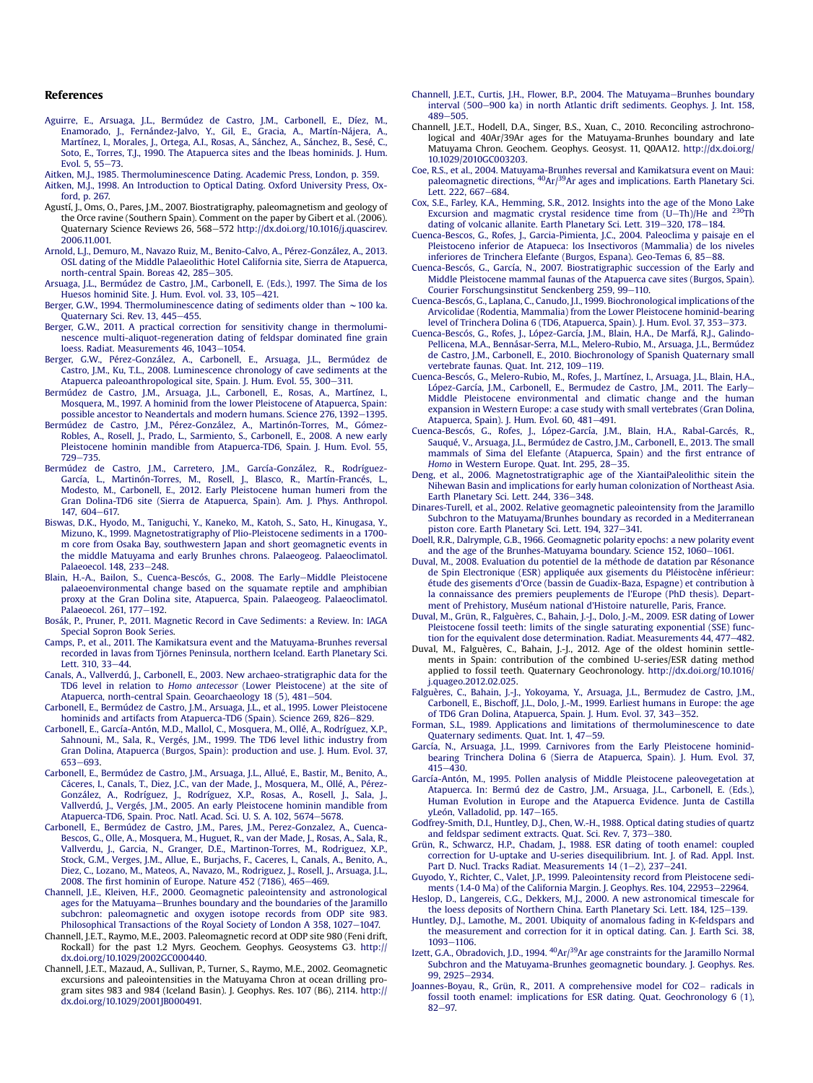#### <span id="page-8-0"></span>References

- [Aguirre, E., Arsuaga, J.L., Bermúdez de Castro, J.M., Carbonell, E., Díez, M.,](http://refhub.elsevier.com/S0305-4403(13)00219-7/sref1) [Enamorado, J., Fernández-Jalvo, Y., Gil, E., Gracia, A., Martín-Nájera, A.,](http://refhub.elsevier.com/S0305-4403(13)00219-7/sref1) [Martínez, I., Morales, J., Ortega, A.I., Rosas, A., Sánchez, A., Sánchez, B., Sesé, C.,](http://refhub.elsevier.com/S0305-4403(13)00219-7/sref1) [Soto, E., Torres, T.J., 1990. The Atapuerca sites and the Ibeas hominids. J. Hum.](http://refhub.elsevier.com/S0305-4403(13)00219-7/sref1) [Evol. 5, 55](http://refhub.elsevier.com/S0305-4403(13)00219-7/sref1)-[73.](http://refhub.elsevier.com/S0305-4403(13)00219-7/sref1)
- [Aitken, M.J., 1985. Thermoluminescence Dating. Academic Press, London, p. 359](http://refhub.elsevier.com/S0305-4403(13)00219-7/sref2). [Aitken, M.J., 1998. An Introduction to Optical Dating. Oxford University Press, Ox](http://refhub.elsevier.com/S0305-4403(13)00219-7/sref3)[ford, p. 267.](http://refhub.elsevier.com/S0305-4403(13)00219-7/sref3)
- Agustí, J., Oms, O., Pares, J.M., 2007. Biostratigraphy, paleomagnetism and geology of the Orce ravine (Southern Spain). Comment on the paper by Gibert et al. (2006). Quaternary Science Reviews 26, 568-572 [http://dx.doi.org/10.1016/j.quascirev.](http://dx.doi.org/10.1016/j.quascirev.2006.11.001) [2006.11.001.](http://dx.doi.org/10.1016/j.quascirev.2006.11.001)
- [Arnold, L.J., Demuro, M., Navazo Ruiz, M., Benito-Calvo, A., Pérez-González, A., 2013.](http://refhub.elsevier.com/S0305-4403(13)00219-7/sref91) [OSL dating of the Middle Palaeolithic Hotel California site, Sierra de Atapuerca,](http://refhub.elsevier.com/S0305-4403(13)00219-7/sref91) [north-central Spain. Boreas 42, 285](http://refhub.elsevier.com/S0305-4403(13)00219-7/sref91)-[305](http://refhub.elsevier.com/S0305-4403(13)00219-7/sref91).
- [Arsuaga, J.L., Bermúdez de Castro, J.M., Carbonell, E. \(Eds.\), 1997. The Sima de los](http://refhub.elsevier.com/S0305-4403(13)00219-7/sref7) [Huesos hominid Site. J. Hum. Evol. vol. 33, 105](http://refhub.elsevier.com/S0305-4403(13)00219-7/sref7)-[421.](http://refhub.elsevier.com/S0305-4403(13)00219-7/sref7)
- [Berger, G.W., 1994. Thermoluminescence dating of sediments older than](http://refhub.elsevier.com/S0305-4403(13)00219-7/sref8)  $\sim$  [100 ka.](http://refhub.elsevier.com/S0305-4403(13)00219-7/sref8) Ouaternary Sci. Rev. 13, 445-[455](http://refhub.elsevier.com/S0305-4403(13)00219-7/sref8).
- [Berger, G.W., 2011. A practical correction for sensitivity change in thermolumi](http://refhub.elsevier.com/S0305-4403(13)00219-7/sref9)[nescence multi-aliquot-regeneration dating of feldspar dominated](http://refhub.elsevier.com/S0305-4403(13)00219-7/sref9) fine grain [loess. Radiat. Measurements 46, 1043](http://refhub.elsevier.com/S0305-4403(13)00219-7/sref9)-[1054](http://refhub.elsevier.com/S0305-4403(13)00219-7/sref9).
- [Berger, G.W., Pérez-González, A., Carbonell, E., Arsuaga, J.L., Bermúdez de](http://refhub.elsevier.com/S0305-4403(13)00219-7/sref10) [Castro, J.M., Ku, T.L., 2008. Luminescence chronology of cave sediments at the](http://refhub.elsevier.com/S0305-4403(13)00219-7/sref10) [Atapuerca paleoanthropological site, Spain. J. Hum. Evol. 55, 300](http://refhub.elsevier.com/S0305-4403(13)00219-7/sref10)-[311.](http://refhub.elsevier.com/S0305-4403(13)00219-7/sref10)
- [Bermúdez de Castro, J.M., Arsuaga, J.L., Carbonell, E., Rosas, A., Martínez, I.,](http://refhub.elsevier.com/S0305-4403(13)00219-7/sref11) [Mosquera, M., 1997. A hominid from the lower Pleistocene of Atapuerca, Spain:](http://refhub.elsevier.com/S0305-4403(13)00219-7/sref11) possible ancestor to Neandertals and modern humans. Science  $276$ ,  $1392-1395$  $1392-1395$ .
- [Bermúdez de Castro, J.M., Pérez-González, A., Martinón-Torres, M., Gómez-](http://refhub.elsevier.com/S0305-4403(13)00219-7/sref12)[Robles, A., Rosell, J., Prado, L., Sarmiento, S., Carbonell, E., 2008. A new early](http://refhub.elsevier.com/S0305-4403(13)00219-7/sref12) [Pleistocene hominin mandible from Atapuerca-TD6, Spain. J. Hum. Evol. 55,](http://refhub.elsevier.com/S0305-4403(13)00219-7/sref12) [729](http://refhub.elsevier.com/S0305-4403(13)00219-7/sref12)-[735](http://refhub.elsevier.com/S0305-4403(13)00219-7/sref12).
- [Bermúdez de Castro, J.M., Carretero, J.M., García-González, R., Rodríguez-](http://refhub.elsevier.com/S0305-4403(13)00219-7/sref13)[García, L., Martinón-Torres, M., Rosell, J., Blasco, R., Martín-Francés, L.,](http://refhub.elsevier.com/S0305-4403(13)00219-7/sref13) [Modesto, M., Carbonell, E., 2012. Early Pleistocene human humeri from the](http://refhub.elsevier.com/S0305-4403(13)00219-7/sref13) [Gran Dolina-TD6 site \(Sierra de Atapuerca, Spain\). Am. J. Phys. Anthropol.](http://refhub.elsevier.com/S0305-4403(13)00219-7/sref13) [147, 604](http://refhub.elsevier.com/S0305-4403(13)00219-7/sref13)-[617.](http://refhub.elsevier.com/S0305-4403(13)00219-7/sref13)
- [Biswas, D.K., Hyodo, M., Taniguchi, Y., Kaneko, M., Katoh, S., Sato, H., Kinugasa, Y.,](http://refhub.elsevier.com/S0305-4403(13)00219-7/sref14) [Mizuno, K., 1999. Magnetostratigraphy of Plio-Pleistocene sediments in a 1700](http://refhub.elsevier.com/S0305-4403(13)00219-7/sref14) [m core from Osaka Bay, southwestern Japan and short geomagnetic events in](http://refhub.elsevier.com/S0305-4403(13)00219-7/sref14) [the middle Matuyama and early Brunhes chrons. Palaeogeog. Palaeoclimatol.](http://refhub.elsevier.com/S0305-4403(13)00219-7/sref14) [Palaeoecol. 148, 233](http://refhub.elsevier.com/S0305-4403(13)00219-7/sref14)-[248](http://refhub.elsevier.com/S0305-4403(13)00219-7/sref14).
- [Blain, H.-A., Bailon, S., Cuenca-Bescós, G., 2008. The Early](http://refhub.elsevier.com/S0305-4403(13)00219-7/sref15)-[Middle Pleistocene](http://refhub.elsevier.com/S0305-4403(13)00219-7/sref15) [palaeoenvironmental change based on the squamate reptile and amphibian](http://refhub.elsevier.com/S0305-4403(13)00219-7/sref15) [proxy at the Gran Dolina site, Atapuerca, Spain. Palaeogeog. Palaeoclimatol.](http://refhub.elsevier.com/S0305-4403(13)00219-7/sref15) [Palaeoecol. 261, 177](http://refhub.elsevier.com/S0305-4403(13)00219-7/sref15)-[192.](http://refhub.elsevier.com/S0305-4403(13)00219-7/sref15)
- [Bosák, P., Pruner, P., 2011. Magnetic Record in Cave Sediments: a Review. In: IAGA](http://refhub.elsevier.com/S0305-4403(13)00219-7/sref16) [Special Sopron Book Series.](http://refhub.elsevier.com/S0305-4403(13)00219-7/sref16)
- [Camps, P., et al., 2011. The Kamikatsura event and the Matuyama-Brunhes reversal](http://refhub.elsevier.com/S0305-4403(13)00219-7/sref17) [recorded in lavas from Tjörnes Peninsula, northern Iceland. Earth Planetary Sci.](http://refhub.elsevier.com/S0305-4403(13)00219-7/sref17) [Lett. 310, 33](http://refhub.elsevier.com/S0305-4403(13)00219-7/sref17)-[44.](http://refhub.elsevier.com/S0305-4403(13)00219-7/sref17)
- [Canals, A., Vallverdú, J., Carbonell, E., 2003. New archaeo-stratigraphic data for the](http://refhub.elsevier.com/S0305-4403(13)00219-7/sref18) TD6 level in relation to Homo antecessor [\(Lower Pleistocene\) at the site of](http://refhub.elsevier.com/S0305-4403(13)00219-7/sref18) Atapuerca, north-central Spain. Geoarchaeology 18 (5),  $481-504$ .
- Carbonell, E., [Bermúdez de Castro, J.M., Arsuaga, J.L., et al., 1995. Lower Pleistocene](http://refhub.elsevier.com/S0305-4403(13)00219-7/sref19) [hominids and artifacts from Atapuerca-TD6 \(Spain\). Science 269, 826](http://refhub.elsevier.com/S0305-4403(13)00219-7/sref19)-[829.](http://refhub.elsevier.com/S0305-4403(13)00219-7/sref19)
- [Carbonell, E., García-Antón, M.D., Mallol, C., Mosquera, M., Ollé, A., Rodríguez, X.P.,](http://refhub.elsevier.com/S0305-4403(13)00219-7/sref20) [Sahnouni, M., Sala, R., Vergés, J.M., 1999. The TD6 level lithic industry from](http://refhub.elsevier.com/S0305-4403(13)00219-7/sref20) [Gran Dolina, Atapuerca \(Burgos, Spain\): production and use. J. Hum. Evol. 37,](http://refhub.elsevier.com/S0305-4403(13)00219-7/sref20) [653](http://refhub.elsevier.com/S0305-4403(13)00219-7/sref20)-[693.](http://refhub.elsevier.com/S0305-4403(13)00219-7/sref20)
- [Carbonell, E., Bermúdez de Castro, J.M., Arsuaga, J.L., Allué, E., Bastir, M., Benito, A.,](http://refhub.elsevier.com/S0305-4403(13)00219-7/sref21) Cáceres, I., Canals, T., Diez, J.C., van der Made, J., Mosquera, M., Ollé, A., Pérez-<br>González, A., Rodríguez, J., Rodríguez, X.P., Rosas, A., Rosell, J., Sala, J.,<br>Vallverdú, J., Vergés, J.M., 2005. An early Pl [Atapuerca-TD6, Spain. Proc. Natl. Acad. Sci. U. S. A. 102, 5674](http://refhub.elsevier.com/S0305-4403(13)00219-7/sref21)-[5678](http://refhub.elsevier.com/S0305-4403(13)00219-7/sref21).
- [Carbonell, E., Bermúdez de Castro, J.M., Pares, J.M., Perez-Gonzalez, A., Cuenca-](http://refhub.elsevier.com/S0305-4403(13)00219-7/sref22)[Bescos, G., Olle, A., Mosquera, M., Huguet, R., van der Made, J., Rosas, A., Sala, R.,](http://refhub.elsevier.com/S0305-4403(13)00219-7/sref22) [Vallverdu, J., Garcia, N., Granger, D.E., Martinon-Torres, M., Rodriguez, X.P.,](http://refhub.elsevier.com/S0305-4403(13)00219-7/sref22) [Stock, G.M., Verges, J.M., Allue, E., Burjachs, F., Caceres, I., Canals, A., Benito, A.,](http://refhub.elsevier.com/S0305-4403(13)00219-7/sref22) [Diez, C., Lozano, M., Mateos, A., Navazo, M., Rodriguez, J., Rosell, J., Arsuaga, J.L.,](http://refhub.elsevier.com/S0305-4403(13)00219-7/sref22) 2008. The first hominin of Europe. Nature  $452$  (7186),  $465-469$ .
- [Channell, J.E., Kleiven, H.F., 2000. Geomagnetic paleointensity and astronological](http://refhub.elsevier.com/S0305-4403(13)00219-7/sref89) [ages for the Matuyama](http://refhub.elsevier.com/S0305-4403(13)00219-7/sref89)-[Brunhes boundary and the boundaries of the Jaramillo](http://refhub.elsevier.com/S0305-4403(13)00219-7/sref89) [subchron: paleomagnetic and oxygen isotope records from ODP site 983.](http://refhub.elsevier.com/S0305-4403(13)00219-7/sref89) [Philosophical Transactions of the Royal Society of London A 358, 1027](http://refhub.elsevier.com/S0305-4403(13)00219-7/sref89)-[1047.](http://refhub.elsevier.com/S0305-4403(13)00219-7/sref89)
- Channell, J.E.T., Raymo, M.E., 2003. Paleomagnetic record at ODP site 980 (Feni drift, Rockall) for the past 1.2 Myrs. Geochem. Geophys. Geosystems G3. [http://](http://dx.doi.org/10.1029/2002GC000440) [dx.doi.org/10.1029/2002GC000440.](http://dx.doi.org/10.1029/2002GC000440)
- Channell, J.E.T., Mazaud, A., Sullivan, P., Turner, S., Raymo, M.E., 2002. Geomagnetic excursions and paleointensities in the Matuyama Chron at ocean drilling program sites 983 and 984 (Iceland Basin). J. Geophys. Res. 107 (B6), 2114. [http://](http://dx.doi.org/10.1029/2001JB000491) [dx.doi.org/10.1029/2001JB000491.](http://dx.doi.org/10.1029/2001JB000491)
- [Channell, J.E.T., Curtis, J.H., Flower, B.P., 2004. The Matuyama](http://refhub.elsevier.com/S0305-4403(13)00219-7/sref25)-[Brunhes boundary](http://refhub.elsevier.com/S0305-4403(13)00219-7/sref25) [interval \(500](http://refhub.elsevier.com/S0305-4403(13)00219-7/sref25)-[900 ka\) in north Atlantic drift sediments. Geophys. J. Int. 158,](http://refhub.elsevier.com/S0305-4403(13)00219-7/sref25) [489](http://refhub.elsevier.com/S0305-4403(13)00219-7/sref25)-505
- Channell, J.E.T., Hodell, D.A., Singer, B.S., Xuan, C., 2010. Reconciling astrochronological and 40Ar/39Ar ages for the Matuyama-Brunhes boundary and late Matuyama Chron. Geochem. Geophys. Geosyst. 11, Q0AA12. [http://dx.doi.org/](http://dx.doi.org/10.1029/2010GC003203) [10.1029/2010GC003203](http://dx.doi.org/10.1029/2010GC003203).
- [Coe, R.S., et al., 2004. Matuyama-Brunhes reversal and Kamikatsura event on Maui:](http://refhub.elsevier.com/S0305-4403(13)00219-7/sref27) [paleomagnetic](http://refhub.elsevier.com/S0305-4403(13)00219-7/sref27) [directions,](http://refhub.elsevier.com/S0305-4403(13)00219-7/sref27)  $^{40}$ Ar $/^{39}$ Ar ages and implications. Earth Planetary Sci. [Lett. 222, 667](http://refhub.elsevier.com/S0305-4403(13)00219-7/sref27)-[684.](http://refhub.elsevier.com/S0305-4403(13)00219-7/sref27)
- [Cox, S.E., Farley, K.A., Hemming, S.R., 2012. Insights into the age of the Mono Lake](http://refhub.elsevier.com/S0305-4403(13)00219-7/sref28) [Excursion and magmatic crystal residence time from \(U](http://refhub.elsevier.com/S0305-4403(13)00219-7/sref28)-[Th\)/He](http://refhub.elsevier.com/S0305-4403(13)00219-7/sref28) [and](http://refhub.elsevier.com/S0305-4403(13)00219-7/sref28) <sup>230</sup>Th [dating of volcanic allanite. Earth Planetary Sci. Lett. 319](http://refhub.elsevier.com/S0305-4403(13)00219-7/sref28)-[320, 178](http://refhub.elsevier.com/S0305-4403(13)00219-7/sref28)-[184.](http://refhub.elsevier.com/S0305-4403(13)00219-7/sref28)
- [Cuenca-Bescos, G., Rofes, J., Garcia-Pimienta, J.C., 2004. Paleoclima y paisaje en el](http://refhub.elsevier.com/S0305-4403(13)00219-7/sref90) [Pleistoceno inferior de Atapueca: los Insectivoros \(Mammalia\) de los niveles](http://refhub.elsevier.com/S0305-4403(13)00219-7/sref90) [inferiores de Trinchera Elefante \(Burgos, Espana\). Geo-Temas 6, 85](http://refhub.elsevier.com/S0305-4403(13)00219-7/sref90)–[88.](http://refhub.elsevier.com/S0305-4403(13)00219-7/sref90)
- [Cuenca-Bescós, G., García, N., 2007. Biostratigraphic succession of the Early and](http://refhub.elsevier.com/S0305-4403(13)00219-7/sref29) [Middle Pleistocene mammal faunas of the Atapuerca cave sites \(Burgos, Spain\).](http://refhub.elsevier.com/S0305-4403(13)00219-7/sref29)
- [Courier Forschungsinstitut Senckenberg 259, 99](http://refhub.elsevier.com/S0305-4403(13)00219-7/sref29)–[110](http://refhub.elsevier.com/S0305-4403(13)00219-7/sref29).<br>[Cuenca-Bescós, G., Laplana, C., Canudo, J.I., 1999. Biochronological implications of the](http://refhub.elsevier.com/S0305-4403(13)00219-7/sref30) [Arvicolidae \(Rodentia, Mammalia\) from the Lower Pleistocene hominid-bearing](http://refhub.elsevier.com/S0305-4403(13)00219-7/sref30)
- [level of Trinchera Dolina 6 \(TD6, Atapuerca, Spain\). J. Hum. Evol. 37, 353](http://refhub.elsevier.com/S0305-4403(13)00219-7/sref30)—[373.](http://refhub.elsevier.com/S0305-4403(13)00219-7/sref30)<br>[Cuenca-Bescós, G., Rofes, J., López-García, J.M., Blain, H.A., De Marfá, R.J., Galindo-](http://refhub.elsevier.com/S0305-4403(13)00219-7/sref31)[Pellicena, M.A., Bennásar-Serra, M.L., Melero-Rubio, M., Arsuaga, J.L., Bermúdez](http://refhub.elsevier.com/S0305-4403(13)00219-7/sref31) [de Castro, J.M., Carbonell, E., 2010. Biochronology of Spanish Quaternary small](http://refhub.elsevier.com/S0305-4403(13)00219-7/sref31) [vertebrate faunas. Quat. Int. 212, 109](http://refhub.elsevier.com/S0305-4403(13)00219-7/sref31)-[119.](http://refhub.elsevier.com/S0305-4403(13)00219-7/sref31)
- [Cuenca-Bescós, G., Melero-Rubio, M., Rofes, J., Martínez, I., Arsuaga, J.L., Blain, H.A.,](http://refhub.elsevier.com/S0305-4403(13)00219-7/sref32) [López-García, J.M., Carbonell, E., Bermudez de Castro, J.M., 2011. The Early](http://refhub.elsevier.com/S0305-4403(13)00219-7/sref32)-[Middle Pleistocene environmental and climatic change and the human](http://refhub.elsevier.com/S0305-4403(13)00219-7/sref32) [expansion in Western Europe: a case study with small vertebrates \(Gran Dolina,](http://refhub.elsevier.com/S0305-4403(13)00219-7/sref32) [Atapuerca, Spain\). J. Hum. Evol. 60, 481](http://refhub.elsevier.com/S0305-4403(13)00219-7/sref32)-[491.](http://refhub.elsevier.com/S0305-4403(13)00219-7/sref32)
- [Cuenca-Bescós, G., Rofes, J., López-García, J.M., Blain, H.A., Rabal-Garcés, R.,](http://refhub.elsevier.com/S0305-4403(13)00219-7/sref33) [Sauqué, V., Arsuaga, J.L., Bermúdez de Castro, J.M., Carbonell, E., 2013. The small](http://refhub.elsevier.com/S0305-4403(13)00219-7/sref33) [mammals of Sima del Elefante \(Atapuerca, Spain\) and the](http://refhub.elsevier.com/S0305-4403(13)00219-7/sref33) first entrance of Homo [in Western Europe. Quat. Int. 295, 28](http://refhub.elsevier.com/S0305-4403(13)00219-7/sref33)-[35.](http://refhub.elsevier.com/S0305-4403(13)00219-7/sref33)
- [Deng, et al., 2006. Magnetostratigraphic age of the XiantaiPaleolithic sitein the](http://refhub.elsevier.com/S0305-4403(13)00219-7/sref34) [Nihewan Basin and implications for early human colonization of Northeast Asia.](http://refhub.elsevier.com/S0305-4403(13)00219-7/sref34) [Earth Planetary Sci. Lett. 244, 336](http://refhub.elsevier.com/S0305-4403(13)00219-7/sref34)-[348](http://refhub.elsevier.com/S0305-4403(13)00219-7/sref34).
- [Dinares-Turell, et al., 2002. Relative geomagnetic paleointensity from the Jaramillo](http://refhub.elsevier.com/S0305-4403(13)00219-7/sref35) [Subchron to the Matuyama/Brunhes boundary as recorded in a Mediterranean](http://refhub.elsevier.com/S0305-4403(13)00219-7/sref35) [piston core. Earth Planetary Sci. Lett. 194, 327](http://refhub.elsevier.com/S0305-4403(13)00219-7/sref35)-[341.](http://refhub.elsevier.com/S0305-4403(13)00219-7/sref35)
- [Doell, R.R., Dalrymple, G.B., 1966. Geomagnetic polarity epochs: a new polarity event](http://refhub.elsevier.com/S0305-4403(13)00219-7/sref36) [and the age of the Brunhes-Matuyama boundary. Science 152, 1060](http://refhub.elsevier.com/S0305-4403(13)00219-7/sref36)-[1061.](http://refhub.elsevier.com/S0305-4403(13)00219-7/sref36)
- [Duval, M., 2008. Evaluation du potentiel de la méthode de datation par Résonance](http://refhub.elsevier.com/S0305-4403(13)00219-7/sref92) [de Spin Electronique \(ESR\) appliquée aux gisements du Pléistocène inférieur:](http://refhub.elsevier.com/S0305-4403(13)00219-7/sref92) étude des gisements d'[Orce \(bassin de Guadix-Baza, Espagne\) et contribution à](http://refhub.elsevier.com/S0305-4403(13)00219-7/sref92) [la connaissance des premiers peuplements de l](http://refhub.elsevier.com/S0305-4403(13)00219-7/sref92)'Europe (PhD thesis). Depart[ment of Prehistory, Muséum national d](http://refhub.elsevier.com/S0305-4403(13)00219-7/sref92)'Histoire naturelle, Paris, France.
- [Duval, M., Grün, R., Falguères, C., Bahain, J.-J., Dolo, J.-M., 2009. ESR dating of Lower](http://refhub.elsevier.com/S0305-4403(13)00219-7/sref37) [Pleistocene fossil teeth: limits of the single saturating exponential \(SSE\) func](http://refhub.elsevier.com/S0305-4403(13)00219-7/sref37)[tion for the equivalent dose determination. Radiat. Measurements 44, 477](http://refhub.elsevier.com/S0305-4403(13)00219-7/sref37)-[482](http://refhub.elsevier.com/S0305-4403(13)00219-7/sref37).
- Duval, M., Falguères, C., Bahain, J.-J., 2012. Age of the oldest hominin settlements in Spain: contribution of the combined U-series/ESR dating method applied to fossil teeth. Quaternary Geochronology. [http://dx.doi.org/10.1016/](http://dx.doi.org/10.1016/j.quageo.2012.02.025) [j.quageo.2012.02.025](http://dx.doi.org/10.1016/j.quageo.2012.02.025).
- [Falguères, C., Bahain, J.-J., Yokoyama, Y., Arsuaga, J.L., Bermudez de Castro, J.M.,](http://refhub.elsevier.com/S0305-4403(13)00219-7/sref39) [Carbonell, E., Bischoff, J.L., Dolo, J.-M., 1999. Earliest humans in Europe: the age](http://refhub.elsevier.com/S0305-4403(13)00219-7/sref39) [of TD6 Gran Dolina, Atapuerca, Spain. J. Hum. Evol. 37, 343](http://refhub.elsevier.com/S0305-4403(13)00219-7/sref39)-[352](http://refhub.elsevier.com/S0305-4403(13)00219-7/sref39).
- [Forman, S.L., 1989. Applications and limitations of thermoluminescence to date](http://refhub.elsevier.com/S0305-4403(13)00219-7/sref40) [Quaternary sediments. Quat. Int. 1, 47](http://refhub.elsevier.com/S0305-4403(13)00219-7/sref40)-[59.](http://refhub.elsevier.com/S0305-4403(13)00219-7/sref40)
- [García, N., Arsuaga, J.L., 1999. Carnivores from the Early Pleistocene hominid](http://refhub.elsevier.com/S0305-4403(13)00219-7/sref41)bearing [Trinchera Dolina 6 \(Sierra de Atapuerca, Spain\). J. Hum. Evol. 37,](http://refhub.elsevier.com/S0305-4403(13)00219-7/sref41)  $415 - 430$  $415 - 430$ .
- [García-Antón, M., 1995. Pollen analysis of Middle Pleistocene paleovegetation at](http://refhub.elsevier.com/S0305-4403(13)00219-7/sref42) [Atapuerca. In: Bermú dez de Castro, J.M., Arsuaga, J.L., Carbonell, E. \(Eds.\),](http://refhub.elsevier.com/S0305-4403(13)00219-7/sref42) [Human Evolution in Europe and the Atapuerca Evidence. Junta de Castilla](http://refhub.elsevier.com/S0305-4403(13)00219-7/sref42) [yLeón, Valladolid, pp. 147](http://refhub.elsevier.com/S0305-4403(13)00219-7/sref42)-[165](http://refhub.elsevier.com/S0305-4403(13)00219-7/sref42).
- [Godfrey-Smith, D.I., Huntley, D.J., Chen, W.-H., 1988. Optical dating studies of quartz](http://refhub.elsevier.com/S0305-4403(13)00219-7/sref43) [and feldspar sediment extracts. Quat. Sci. Rev. 7, 373](http://refhub.elsevier.com/S0305-4403(13)00219-7/sref43)-[380.](http://refhub.elsevier.com/S0305-4403(13)00219-7/sref43)
- [Grün, R., Schwarcz, H.P., Chadam, J., 1988. ESR dating of tooth enamel: coupled](http://refhub.elsevier.com/S0305-4403(13)00219-7/sref44) [correction for U-uptake and U-series disequilibrium. Int. J. of Rad. Appl. Inst.](http://refhub.elsevier.com/S0305-4403(13)00219-7/sref44) Part D. Nucl. Tracks Radiat. Measurements  $14$  (1-[2\), 237](http://refhub.elsevier.com/S0305-4403(13)00219-7/sref44)-[241.](http://refhub.elsevier.com/S0305-4403(13)00219-7/sref44)
- [Guyodo, Y., Richter, C., Valet, J.P., 1999. Paleointensity record from Pleistocene sedi](http://refhub.elsevier.com/S0305-4403(13)00219-7/sref45)[ments \(1.4-0 Ma\) of the California Margin. J. Geophys. Res. 104, 22953](http://refhub.elsevier.com/S0305-4403(13)00219-7/sref45)-[22964](http://refhub.elsevier.com/S0305-4403(13)00219-7/sref45). [Heslop, D., Langereis, C.G., Dekkers, M.J., 2000. A new astronomical timescale for](http://refhub.elsevier.com/S0305-4403(13)00219-7/sref46)
- [the loess deposits of Northern China. Earth Planetary Sci. Lett. 184, 125](http://refhub.elsevier.com/S0305-4403(13)00219-7/sref46)-[139](http://refhub.elsevier.com/S0305-4403(13)00219-7/sref46).
- [Huntley, D.J., Lamothe, M., 2001. Ubiquity of anomalous fading in K-feldspars and](http://refhub.elsevier.com/S0305-4403(13)00219-7/sref47) [the measurement and correction for it in optical dating. Can. J. Earth Sci. 38,](http://refhub.elsevier.com/S0305-4403(13)00219-7/sref47) [1093](http://refhub.elsevier.com/S0305-4403(13)00219-7/sref47)-[1106](http://refhub.elsevier.com/S0305-4403(13)00219-7/sref47)
- [Izett,](http://refhub.elsevier.com/S0305-4403(13)00219-7/sref48) [G.A.,](http://refhub.elsevier.com/S0305-4403(13)00219-7/sref48) [Obradovich,](http://refhub.elsevier.com/S0305-4403(13)00219-7/sref48) [J.D.,](http://refhub.elsevier.com/S0305-4403(13)00219-7/sref48) [1994.](http://refhub.elsevier.com/S0305-4403(13)00219-7/sref48)  ${}^{40}Ar/{}^{39}Ar$  age constraints for the Jaramillo Normal [Subchron and the Matuyama-Brunhes geomagnetic boundary. J. Geophys. Res.](http://refhub.elsevier.com/S0305-4403(13)00219-7/sref48) [99, 2925](http://refhub.elsevier.com/S0305-4403(13)00219-7/sref48)-[2934](http://refhub.elsevier.com/S0305-4403(13)00219-7/sref48).
- [Joannes-Boyau, R., Grün, R., 2011. A comprehensive model for CO2](http://refhub.elsevier.com/S0305-4403(13)00219-7/sref49) [radicals in](http://refhub.elsevier.com/S0305-4403(13)00219-7/sref49) [fossil tooth enamel: implications for ESR dating. Quat. Geochronology 6 \(1\),](http://refhub.elsevier.com/S0305-4403(13)00219-7/sref49)  $82 - 97.$  $82 - 97.$  $82 - 97.$